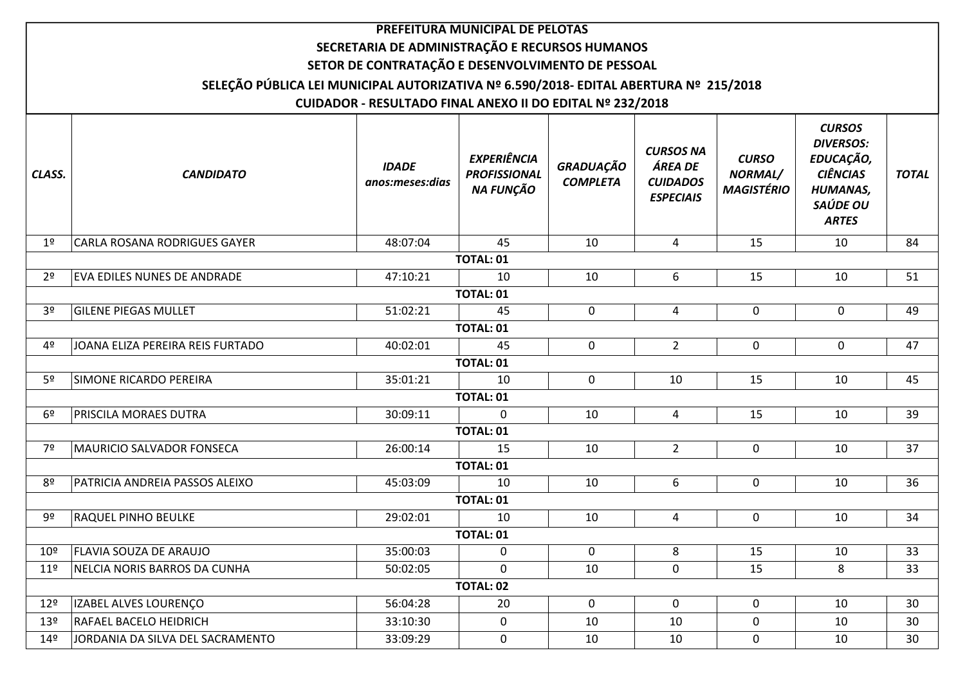|                 |                                                                                       |                                                           | PREFEITURA MUNICIPAL DE PELOTAS                        |                                     |                                                                    |                                              |                                                                                                                  |                 |
|-----------------|---------------------------------------------------------------------------------------|-----------------------------------------------------------|--------------------------------------------------------|-------------------------------------|--------------------------------------------------------------------|----------------------------------------------|------------------------------------------------------------------------------------------------------------------|-----------------|
|                 |                                                                                       | SECRETARIA DE ADMINISTRAÇÃO E RECURSOS HUMANOS            |                                                        |                                     |                                                                    |                                              |                                                                                                                  |                 |
|                 |                                                                                       | SETOR DE CONTRATAÇÃO E DESENVOLVIMENTO DE PESSOAL         |                                                        |                                     |                                                                    |                                              |                                                                                                                  |                 |
|                 | SELEÇÃO PÚBLICA LEI MUNICIPAL AUTORIZATIVA Nº 6.590/2018- EDITAL ABERTURA Nº 215/2018 |                                                           |                                                        |                                     |                                                                    |                                              |                                                                                                                  |                 |
|                 |                                                                                       | CUIDADOR - RESULTADO FINAL ANEXO II DO EDITAL Nº 232/2018 |                                                        |                                     |                                                                    |                                              |                                                                                                                  |                 |
| CLASS.          | <b>CANDIDATO</b>                                                                      | <b>IDADE</b><br>anos:meses:dias                           | <b>EXPERIÊNCIA</b><br><b>PROFISSIONAL</b><br>NA FUNÇÃO | <b>GRADUAÇÃO</b><br><b>COMPLETA</b> | <b>CURSOS NA</b><br>ÁREA DE<br><b>CUIDADOS</b><br><b>ESPECIAIS</b> | <b>CURSO</b><br>NORMAL/<br><b>MAGISTÉRIO</b> | <b>CURSOS</b><br><b>DIVERSOS:</b><br>EDUCAÇÃO,<br><b>CIÊNCIAS</b><br><b>HUMANAS,</b><br>SAÚDE OU<br><b>ARTES</b> | <b>TOTAL</b>    |
| 1 <sup>°</sup>  | CARLA ROSANA RODRIGUES GAYER                                                          | 48:07:04                                                  | 45                                                     | 10                                  | 4                                                                  | 15                                           | 10                                                                                                               | 84              |
|                 |                                                                                       |                                                           | <b>TOTAL: 01</b>                                       |                                     |                                                                    |                                              |                                                                                                                  |                 |
| 2 <sup>o</sup>  | <b>EVA EDILES NUNES DE ANDRADE</b>                                                    | 47:10:21                                                  | 10                                                     | 10                                  | 6                                                                  | 15                                           | 10                                                                                                               | 51              |
|                 |                                                                                       |                                                           | <b>TOTAL: 01</b>                                       |                                     |                                                                    |                                              |                                                                                                                  |                 |
| 3 <sup>o</sup>  | <b>GILENE PIEGAS MULLET</b>                                                           | 51:02:21                                                  | 45                                                     | $\mathbf 0$                         | 4                                                                  | $\mathbf 0$                                  | 0                                                                                                                | 49              |
|                 |                                                                                       |                                                           | <b>TOTAL: 01</b>                                       |                                     |                                                                    |                                              |                                                                                                                  |                 |
| 4º              | JOANA ELIZA PEREIRA REIS FURTADO                                                      | 40:02:01                                                  | 45                                                     | $\mathbf 0$                         | $2^{\circ}$                                                        | $\mathbf 0$                                  | $\mathbf 0$                                                                                                      | 47              |
|                 |                                                                                       |                                                           | TOTAL: 01                                              |                                     |                                                                    |                                              |                                                                                                                  |                 |
| 5 <sup>o</sup>  | SIMONE RICARDO PEREIRA                                                                | 35:01:21                                                  | 10                                                     | $\mathbf 0$                         | 10                                                                 | 15                                           | 10                                                                                                               | 45              |
|                 |                                                                                       |                                                           | TOTAL: 01                                              |                                     |                                                                    |                                              |                                                                                                                  |                 |
| 6 <sup>9</sup>  | <b>PRISCILA MORAES DUTRA</b>                                                          | 30:09:11                                                  | $\Omega$                                               | 10                                  | 4                                                                  | 15                                           | 10                                                                                                               | 39              |
|                 |                                                                                       |                                                           | <b>TOTAL: 01</b>                                       |                                     |                                                                    |                                              |                                                                                                                  |                 |
| 7º              | MAURICIO SALVADOR FONSECA                                                             | 26:00:14                                                  | 15                                                     | 10                                  | $\overline{2}$                                                     | $\mathbf 0$                                  | 10                                                                                                               | 37              |
|                 |                                                                                       |                                                           | <b>TOTAL: 01</b>                                       |                                     |                                                                    |                                              |                                                                                                                  |                 |
| 8º              | PATRICIA ANDREIA PASSOS ALEIXO                                                        | 45:03:09                                                  | 10                                                     | 10                                  | 6                                                                  | 0                                            | 10                                                                                                               | 36              |
|                 |                                                                                       |                                                           | <b>TOTAL: 01</b>                                       |                                     |                                                                    |                                              |                                                                                                                  |                 |
| 9º              | <b>RAQUEL PINHO BEULKE</b>                                                            | 29:02:01                                                  | 10                                                     | 10                                  | 4                                                                  | 0                                            | 10                                                                                                               | 34              |
|                 |                                                                                       |                                                           | <b>TOTAL: 01</b>                                       |                                     |                                                                    |                                              |                                                                                                                  |                 |
| 10 <sup>°</sup> | <b>FLAVIA SOUZA DE ARAUJO</b>                                                         | 35:00:03                                                  | $\mathbf 0$                                            | $\Omega$                            | 8                                                                  | 15                                           | 10                                                                                                               | 33              |
| $11^{\circ}$    | NELCIA NORIS BARROS DA CUNHA                                                          | 50:02:05                                                  | $\mathbf 0$                                            | 10                                  | 0                                                                  | 15                                           | 8                                                                                                                | 33              |
|                 |                                                                                       |                                                           | <b>TOTAL: 02</b>                                       |                                     |                                                                    |                                              |                                                                                                                  |                 |
| 12 <sup>°</sup> | <b>IZABEL ALVES LOURENÇO</b>                                                          | 56:04:28                                                  | 20                                                     | $\mathbf 0$                         | 0                                                                  | 0                                            | 10                                                                                                               | 30              |
| 13 <sup>°</sup> | RAFAEL BACELO HEIDRICH                                                                | 33:10:30                                                  | $\mathbf 0$                                            | 10                                  | 10                                                                 | $\mathbf 0$                                  | 10                                                                                                               | 30              |
| 14 <sup>°</sup> | JORDANIA DA SILVA DEL SACRAMENTO                                                      | 33:09:29                                                  | $\mathbf 0$                                            | 10                                  | 10                                                                 | $\mathbf 0$                                  | 10                                                                                                               | 30 <sup>°</sup> |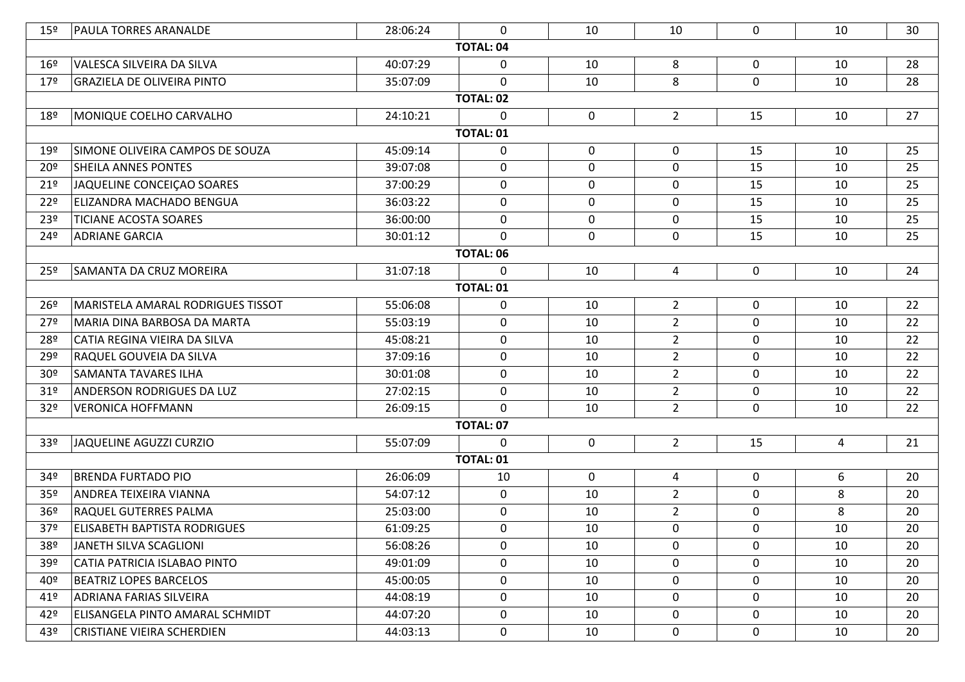| $15^{\circ}$    | <b>PAULA TORRES ARANALDE</b>        | 28:06:24 | $\mathbf{0}$     | 10               | 10             | 0           | 10             | 30 |  |
|-----------------|-------------------------------------|----------|------------------|------------------|----------------|-------------|----------------|----|--|
|                 |                                     |          | <b>TOTAL: 04</b> |                  |                |             |                |    |  |
| $16^{\circ}$    | VALESCA SILVEIRA DA SILVA           | 40:07:29 | 0                | 10               | 8              | $\mathbf 0$ | 10             | 28 |  |
| 179             | <b>GRAZIELA DE OLIVEIRA PINTO</b>   | 35:07:09 | $\mathbf 0$      | 10               | 8              | $\mathbf 0$ | 10             | 28 |  |
|                 |                                     |          | <b>TOTAL: 02</b> |                  |                |             |                |    |  |
| 18 <sup>°</sup> | MONIQUE COELHO CARVALHO             | 24:10:21 | 0                | 0                | $2^{\circ}$    | 15          | 10             | 27 |  |
|                 | <b>TOTAL: 01</b>                    |          |                  |                  |                |             |                |    |  |
| 19 <sup>°</sup> | SIMONE OLIVEIRA CAMPOS DE SOUZA     | 45:09:14 | 0                | $\mathbf 0$      | $\mathbf 0$    | 15          | 10             | 25 |  |
| 20 <sup>°</sup> | <b>SHEILA ANNES PONTES</b>          | 39:07:08 | 0                | $\mathbf 0$      | $\mathbf 0$    | 15          | 10             | 25 |  |
| $21^{\circ}$    | JAQUELINE CONCEIÇÃO SOARES          | 37:00:29 | $\mathbf 0$      | $\mathbf 0$      | $\pmb{0}$      | 15          | 10             | 25 |  |
| 22º             | ELIZANDRA MACHADO BENGUA            | 36:03:22 | 0                | $\boldsymbol{0}$ | 0              | 15          | 10             | 25 |  |
| 23º             | <b>TICIANE ACOSTA SOARES</b>        | 36:00:00 | $\mathbf 0$      | $\mathbf 0$      | $\mathbf 0$    | 15          | 10             | 25 |  |
| 24º             | <b>ADRIANE GARCIA</b>               | 30:01:12 | $\mathbf{0}$     | 0                | 0              | 15          | 10             | 25 |  |
|                 | <b>TOTAL: 06</b>                    |          |                  |                  |                |             |                |    |  |
| 25 <sup>°</sup> | SAMANTA DA CRUZ MOREIRA             | 31:07:18 | 0                | 10               | $\overline{4}$ | $\mathbf 0$ | 10             | 24 |  |
|                 | <b>TOTAL: 01</b>                    |          |                  |                  |                |             |                |    |  |
| 26º             | MARISTELA AMARAL RODRIGUES TISSOT   | 55:06:08 | 0                | 10               | $2^{\circ}$    | $\mathbf 0$ | 10             | 22 |  |
| 27º             | MARIA DINA BARBOSA DA MARTA         | 55:03:19 | $\mathbf 0$      | 10               | $\overline{2}$ | 0           | 10             | 22 |  |
| 28º             | CATIA REGINA VIEIRA DA SILVA        | 45:08:21 | $\mathbf 0$      | 10               | $2^{\circ}$    | 0           | 10             | 22 |  |
| 29º             | RAQUEL GOUVEIA DA SILVA             | 37:09:16 | 0                | 10               | $\overline{2}$ | 0           | 10             | 22 |  |
| 30 <sup>o</sup> | <b>SAMANTA TAVARES ILHA</b>         | 30:01:08 | $\mathbf 0$      | 10               | $2^{\circ}$    | $\mathbf 0$ | 10             | 22 |  |
| 31 <sup>°</sup> | <b>ANDERSON RODRIGUES DA LUZ</b>    | 27:02:15 | $\mathbf 0$      | 10               | $2^{\circ}$    | $\mathbf 0$ | 10             | 22 |  |
| 32 <sup>o</sup> | <b>VERONICA HOFFMANN</b>            | 26:09:15 | $\mathbf 0$      | 10               | $2^{\circ}$    | 0           | 10             | 22 |  |
|                 |                                     |          | <b>TOTAL: 07</b> |                  |                |             |                |    |  |
| 33 <sup>°</sup> | JAQUELINE AGUZZI CURZIO             | 55:07:09 | $\mathbf{0}$     | $\mathbf 0$      | $2^{\circ}$    | 15          | $\overline{4}$ | 21 |  |
|                 |                                     |          | <b>TOTAL: 01</b> |                  |                |             |                |    |  |
| 34º             | <b>BRENDA FURTADO PIO</b>           | 26:06:09 | 10               | $\mathbf 0$      | 4              | 0           | 6              | 20 |  |
| 35 <sup>°</sup> | ANDREA TEIXEIRA VIANNA              | 54:07:12 | $\mathbf 0$      | 10               | $2^{\circ}$    | 0           | 8              | 20 |  |
| 36 <sup>°</sup> | <b>RAQUEL GUTERRES PALMA</b>        | 25:03:00 | $\mathbf 0$      | 10               | $2^{\circ}$    | 0           | 8              | 20 |  |
| 37 <sup>°</sup> | <b>ELISABETH BAPTISTA RODRIGUES</b> | 61:09:25 | 0                | 10               | $\mathbf 0$    | 0           | 10             | 20 |  |
| 38º             | JANETH SILVA SCAGLIONI              | 56:08:26 | 0                | 10               | 0              | $\mathbf 0$ | 10             | 20 |  |
| 39º             | CATIA PATRICIA ISLABAO PINTO        | 49:01:09 | 0                | 10               | $\mathbf 0$    | $\mathbf 0$ | 10             | 20 |  |
| 40º             | <b>BEATRIZ LOPES BARCELOS</b>       | 45:00:05 | 0                | 10               | 0              | $\mathbf 0$ | 10             | 20 |  |
| 41º             | <b>ADRIANA FARIAS SILVEIRA</b>      | 44:08:19 | 0                | 10               | 0              | $\mathbf 0$ | 10             | 20 |  |
| 42º             | ELISANGELA PINTO AMARAL SCHMIDT     | 44:07:20 | 0                | 10               | 0              | $\mathbf 0$ | 10             | 20 |  |
| 43º             | <b>CRISTIANE VIEIRA SCHERDIEN</b>   | 44:03:13 | $\mathbf 0$      | 10               | $\mathbf 0$    | $\mathbf 0$ | 10             | 20 |  |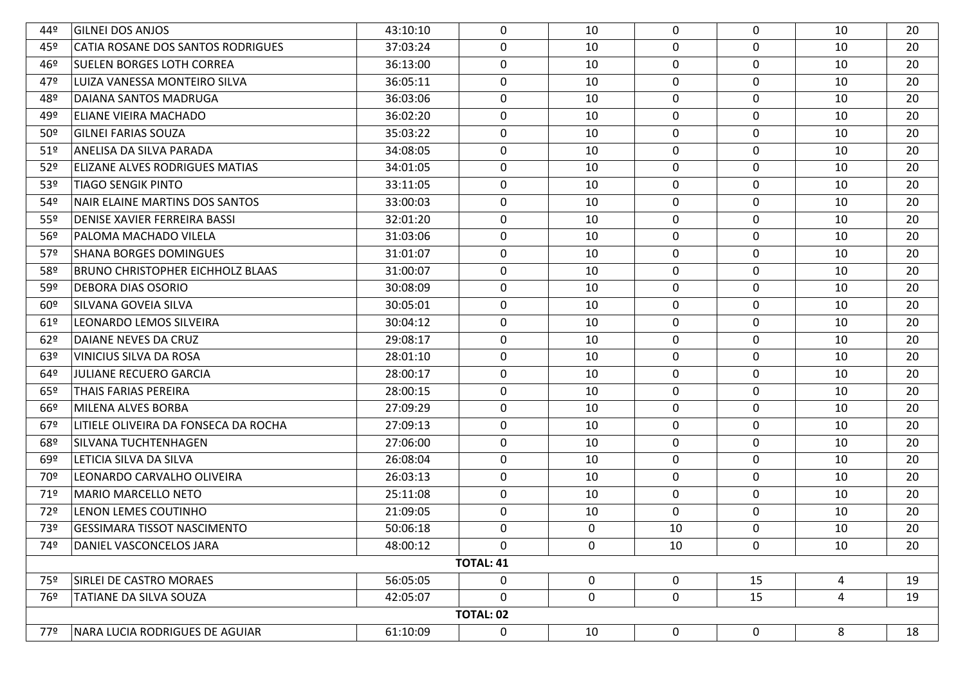| 44º             | <b>GILNEI DOS ANJOS</b>                 | 43:10:10 | 0                | 10          | $\mathbf 0$ | $\mathbf 0$ | 10 | 20 |  |  |
|-----------------|-----------------------------------------|----------|------------------|-------------|-------------|-------------|----|----|--|--|
| 45º             | CATIA ROSANE DOS SANTOS RODRIGUES       | 37:03:24 | $\mathbf 0$      | 10          | $\mathbf 0$ | $\mathbf 0$ | 10 | 20 |  |  |
| 46º             | SUELEN BORGES LOTH CORREA               | 36:13:00 | 0                | 10          | 0           | 0           | 10 | 20 |  |  |
| 47º             | LUIZA VANESSA MONTEIRO SILVA            | 36:05:11 | 0                | 10          | 0           | 0           | 10 | 20 |  |  |
| 48º             | DAIANA SANTOS MADRUGA                   | 36:03:06 | 0                | 10          | 0           | 0           | 10 | 20 |  |  |
| 49º             | ELIANE VIEIRA MACHADO                   | 36:02:20 | $\mathbf 0$      | 10          | $\mathbf 0$ | $\mathbf 0$ | 10 | 20 |  |  |
| 50 <sup>°</sup> | <b>GILNEI FARIAS SOUZA</b>              | 35:03:22 | 0                | 10          | $\mathbf 0$ | 0           | 10 | 20 |  |  |
| 51 <sup>°</sup> | ANELISA DA SILVA PARADA                 | 34:08:05 | 0                | 10          | 0           | 0           | 10 | 20 |  |  |
| 52 <sup>o</sup> | ELIZANE ALVES RODRIGUES MATIAS          | 34:01:05 | 0                | 10          | $\mathbf 0$ | 0           | 10 | 20 |  |  |
| 53 <sup>°</sup> | TIAGO SENGIK PINTO                      | 33:11:05 | 0                | 10          | $\mathbf 0$ | $\mathbf 0$ | 10 | 20 |  |  |
| 54º             | NAIR ELAINE MARTINS DOS SANTOS          | 33:00:03 | $\mathbf 0$      | 10          | $\mathbf 0$ | 0           | 10 | 20 |  |  |
| 55º             | DENISE XAVIER FERREIRA BASSI            | 32:01:20 | 0                | 10          | 0           | 0           | 10 | 20 |  |  |
| 56º             | PALOMA MACHADO VILELA                   | 31:03:06 | 0                | 10          | $\mathbf 0$ | 0           | 10 | 20 |  |  |
| 57º             | <b>SHANA BORGES DOMINGUES</b>           | 31:01:07 | 0                | 10          | $\mathbf 0$ | $\mathbf 0$ | 10 | 20 |  |  |
| 58º             | <b>BRUNO CHRISTOPHER EICHHOLZ BLAAS</b> | 31:00:07 | 0                | 10          | 0           | 0           | 10 | 20 |  |  |
| 59º             | DEBORA DIAS OSORIO                      | 30:08:09 | 0                | 10          | 0           | 0           | 10 | 20 |  |  |
| 60º             | SILVANA GOVEIA SILVA                    | 30:05:01 | 0                | 10          | 0           | 0           | 10 | 20 |  |  |
| 61°             | LEONARDO LEMOS SILVEIRA                 | 30:04:12 | $\mathbf 0$      | 10          | 0           | $\mathbf 0$ | 10 | 20 |  |  |
| 62°             | DAIANE NEVES DA CRUZ                    | 29:08:17 | 0                | 10          | 0           | $\mathbf 0$ | 10 | 20 |  |  |
| 63º             | VINICIUS SILVA DA ROSA                  | 28:01:10 | 0                | 10          | 0           | 0           | 10 | 20 |  |  |
| 64º             | JULIANE RECUERO GARCIA                  | 28:00:17 | 0                | 10          | 0           | $\mathbf 0$ | 10 | 20 |  |  |
| 65º             | THAIS FARIAS PEREIRA                    | 28:00:15 | $\mathbf 0$      | 10          | $\mathbf 0$ | $\mathbf 0$ | 10 | 20 |  |  |
| 66º             | MILENA ALVES BORBA                      | 27:09:29 | $\mathbf 0$      | 10          | 0           | $\mathbf 0$ | 10 | 20 |  |  |
| 67º             | LITIELE OLIVEIRA DA FONSECA DA ROCHA    | 27:09:13 | $\mathbf 0$      | 10          | 0           | 0           | 10 | 20 |  |  |
| 68º             | SILVANA TUCHTENHAGEN                    | 27:06:00 | $\mathbf 0$      | 10          | 0           | 0           | 10 | 20 |  |  |
| 69º             | LETICIA SILVA DA SILVA                  | 26:08:04 | $\mathbf 0$      | 10          | 0           | $\mathbf 0$ | 10 | 20 |  |  |
| 90?             | LEONARDO CARVALHO OLIVEIRA              | 26:03:13 | $\mathbf 0$      | 10          | 0           | $\mathbf 0$ | 10 | 20 |  |  |
| 71º             | MARIO MARCELLO NETO                     | 25:11:08 | 0                | 10          | 0           | $\mathbf 0$ | 10 | 20 |  |  |
| 72º             | LENON LEMES COUTINHO                    | 21:09:05 | $\mathbf 0$      | 10          | 0           | $\mathbf 0$ | 10 | 20 |  |  |
| 73º             | GESSIMARA TISSOT NASCIMENTO             | 50:06:18 | 0                | 0           | 10          | 0           | 10 | 20 |  |  |
| 74º             | DANIEL VASCONCELOS JARA                 | 48:00:12 | $\mathbf 0$      | 0           | 10          | 0           | 10 | 20 |  |  |
|                 | <b>TOTAL: 41</b>                        |          |                  |             |             |             |    |    |  |  |
| 75º             | SIRLEI DE CASTRO MORAES                 | 56:05:05 | $\mathbf 0$      | $\mathbf 0$ | 0           | 15          | 4  | 19 |  |  |
| 76º             | <b>TATIANE DA SILVA SOUZA</b>           | 42:05:07 | $\mathbf 0$      | $\mathbf 0$ | 0           | 15          | 4  | 19 |  |  |
|                 |                                         |          | <b>TOTAL: 02</b> |             |             |             |    |    |  |  |
| 77º             | NARA LUCIA RODRIGUES DE AGUIAR          | 61:10:09 | 0                | 10          | $\mathbf 0$ | $\mathbf 0$ | 8  | 18 |  |  |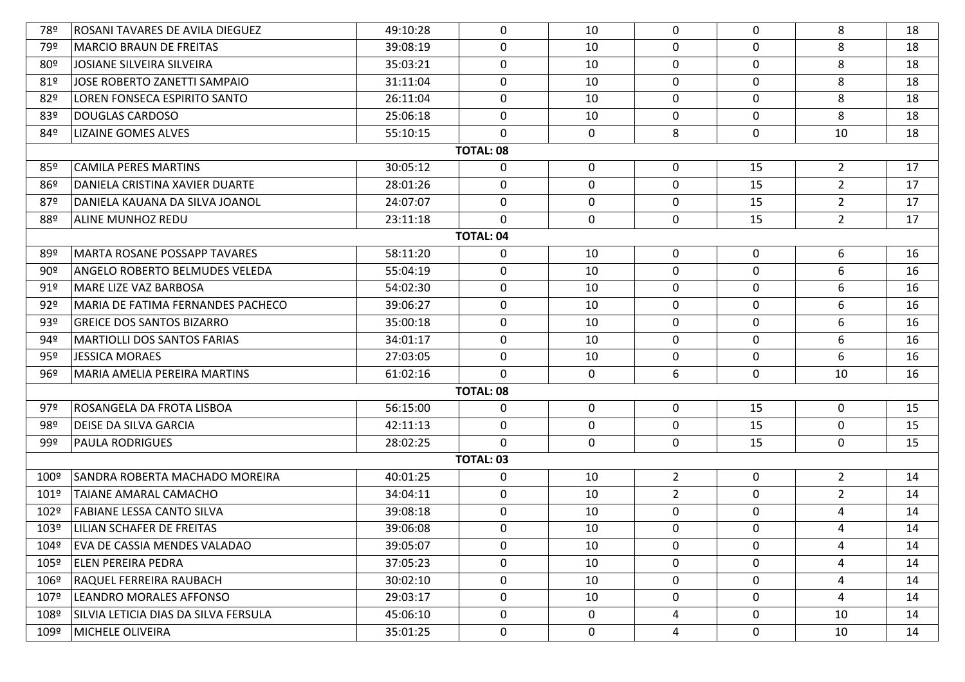| 78º                                                                                                              | ROSANI TAVARES DE AVILA DIEGUEZ          | 49:10:28 | $\mathbf{0}$     | 10           | 0              | $\Omega$     | 8              | 18 |  |
|------------------------------------------------------------------------------------------------------------------|------------------------------------------|----------|------------------|--------------|----------------|--------------|----------------|----|--|
| 79º                                                                                                              | <b>MARCIO BRAUN DE FREITAS</b>           | 39:08:19 | 0                | 10           | $\mathbf 0$    | $\Omega$     | 8              | 18 |  |
| 80 <sup>°</sup>                                                                                                  | JOSIANE SILVEIRA SILVEIRA                | 35:03:21 | $\mathbf 0$      | 10           | 0              | 0            | 8              | 18 |  |
| 81º                                                                                                              | JOSE ROBERTO ZANETTI SAMPAIO             | 31:11:04 | 0                | 10           | $\mathbf 0$    | $\Omega$     | 8              | 18 |  |
| 82º                                                                                                              | LOREN FONSECA ESPIRITO SANTO             | 26:11:04 | $\mathbf 0$      | 10           | 0              | $\mathbf{0}$ | 8              | 18 |  |
| 83º                                                                                                              | <b>DOUGLAS CARDOSO</b>                   | 25:06:18 | $\mathbf 0$      | 10           | $\mathbf 0$    | 0            | 8              | 18 |  |
| 84º                                                                                                              | LIZAINE GOMES ALVES                      | 55:10:15 | $\Omega$         | $\mathbf 0$  | 8              | 0            | 10             | 18 |  |
|                                                                                                                  |                                          |          | <b>TOTAL: 08</b> |              |                |              |                |    |  |
| <b>CAMILA PERES MARTINS</b><br>$\mathbf 0$<br>0<br>$\overline{2}$<br>85º<br>30:05:12<br>$\mathbf{0}$<br>15<br>17 |                                          |          |                  |              |                |              |                |    |  |
| 86º                                                                                                              | DANIELA CRISTINA XAVIER DUARTE           | 28:01:26 | $\mathbf 0$      | $\mathbf 0$  | $\mathbf 0$    | 15           | $\overline{2}$ | 17 |  |
| 87º                                                                                                              | DANIELA KAUANA DA SILVA JOANOL           | 24:07:07 | $\mathbf 0$      | $\mathbf 0$  | 0              | 15           | $\overline{2}$ | 17 |  |
| 88º                                                                                                              | ALINE MUNHOZ REDU                        | 23:11:18 | $\Omega$         | $\mathbf 0$  | $\mathbf 0$    | 15           | $2^{\circ}$    | 17 |  |
|                                                                                                                  |                                          |          | <b>TOTAL: 04</b> |              |                |              |                |    |  |
| 89º                                                                                                              | MARTA ROSANE POSSAPP TAVARES             | 58:11:20 | 0                | 10           | $\mathbf 0$    | 0            | 6              | 16 |  |
| 90°                                                                                                              | ANGELO ROBERTO BELMUDES VELEDA           | 55:04:19 | $\mathbf 0$      | 10           | 0              | 0            | 6              | 16 |  |
| 91°                                                                                                              | MARE LIZE VAZ BARBOSA                    | 54:02:30 | 0                | 10           | $\mathbf 0$    | $\Omega$     | 6              | 16 |  |
| 92°                                                                                                              | <b>MARIA DE FATIMA FERNANDES PACHECO</b> | 39:06:27 | 0                | 10           | 0              | $\mathbf{0}$ | 6              | 16 |  |
| 93º                                                                                                              | <b>GREICE DOS SANTOS BIZARRO</b>         | 35:00:18 | 0                | 10           | $\pmb{0}$      | $\mathbf 0$  | 6              | 16 |  |
| 94º                                                                                                              | <b>MARTIOLLI DOS SANTOS FARIAS</b>       | 34:01:17 | $\mathbf 0$      | 10           | 0              | 0            | 6              | 16 |  |
| 95º                                                                                                              | JESSICA MORAES                           | 27:03:05 | $\mathbf 0$      | 10           | $\mathbf 0$    | $\Omega$     | 6              | 16 |  |
| 96°                                                                                                              | MARIA AMELIA PEREIRA MARTINS             | 61:02:16 | $\Omega$         | $\mathbf 0$  | 6              | 0            | 10             | 16 |  |
|                                                                                                                  |                                          |          | <b>TOTAL: 08</b> |              |                |              |                |    |  |
| 97º                                                                                                              | ROSANGELA DA FROTA LISBOA                | 56:15:00 | 0                | $\mathbf 0$  | $\mathbf 0$    | 15           | $\mathbf 0$    | 15 |  |
| 98º                                                                                                              | <b>DEISE DA SILVA GARCIA</b>             | 42:11:13 | $\mathbf 0$      | $\mathbf{0}$ | $\mathbf 0$    | 15           | 0              | 15 |  |
| 99º                                                                                                              | <b>PAULA RODRIGUES</b>                   | 28:02:25 | $\Omega$         | $\mathbf{0}$ | $\mathbf 0$    | 15           | 0              | 15 |  |
|                                                                                                                  |                                          |          | <b>TOTAL: 03</b> |              |                |              |                |    |  |
| $100^{\circ}$                                                                                                    | SANDRA ROBERTA MACHADO MOREIRA           | 40:01:25 | 0                | 10           | $\overline{2}$ | $\mathbf 0$  | $2^{\circ}$    | 14 |  |
| $101^{\circ}$                                                                                                    | TAIANE AMARAL CAMACHO                    | 34:04:11 | $\mathbf 0$      | 10           | $\overline{2}$ | 0            | $\overline{2}$ | 14 |  |
| 102º                                                                                                             | FABIANE LESSA CANTO SILVA                | 39:08:18 | 0                | 10           | $\mathbf 0$    | 0            | 4              | 14 |  |
| 103º                                                                                                             | LILIAN SCHAFER DE FREITAS                | 39:06:08 | 0                | 10           | $\mathbf 0$    | $\Omega$     | 4              | 14 |  |
| 104º                                                                                                             | EVA DE CASSIA MENDES VALADAO             | 39:05:07 | 0                | 10           | 0              | $\mathbf 0$  | 4              | 14 |  |
| 105º                                                                                                             | <b>ELEN PEREIRA PEDRA</b>                | 37:05:23 | 0                | 10           | $\mathbf 0$    | 0            | 4              | 14 |  |
| 106º                                                                                                             | RAQUEL FERREIRA RAUBACH                  | 30:02:10 | $\mathbf 0$      | 10           | 0              | $\mathbf 0$  | 4              | 14 |  |
| 107º                                                                                                             | LEANDRO MORALES AFFONSO                  | 29:03:17 | 0                | 10           | 0              | 0            | 4              | 14 |  |
| 108º                                                                                                             | SILVIA LETICIA DIAS DA SILVA FERSULA     | 45:06:10 | $\mathbf 0$      | 0            | 4              | 0            | 10             | 14 |  |
| 109º                                                                                                             | MICHELE OLIVEIRA                         | 35:01:25 | 0                | $\mathbf 0$  | 4              | $\mathbf 0$  | 10             | 14 |  |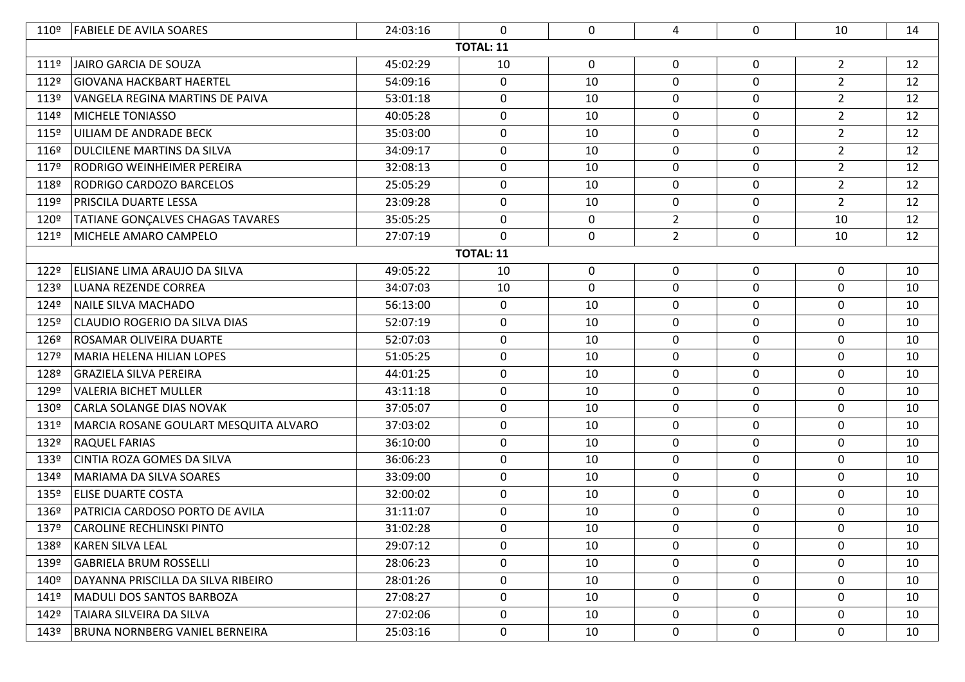| 110º             | <b>FABIELE DE AVILA SOARES</b>          | 24:03:16 | $\mathbf{0}$     | 0           | 4              | 0                | 10             | 14 |
|------------------|-----------------------------------------|----------|------------------|-------------|----------------|------------------|----------------|----|
|                  |                                         |          | <b>TOTAL: 11</b> |             |                |                  |                |    |
| 1119             | JAIRO GARCIA DE SOUZA                   | 45:02:29 | 10               | 0           | 0              | 0                | $2^{\circ}$    | 12 |
| 112º             | <b>GIOVANA HACKBART HAERTEL</b>         | 54:09:16 | $\mathbf 0$      | 10          | 0              | $\mathbf 0$      | $\overline{2}$ | 12 |
| 113º             | VANGELA REGINA MARTINS DE PAIVA         | 53:01:18 | 0                | 10          | 0              | 0                | $\overline{2}$ | 12 |
| 114º             | <b>MICHELE TONIASSO</b>                 | 40:05:28 | 0                | 10          | 0              | 0                | $\overline{2}$ | 12 |
| 115º             | <b>UILIAM DE ANDRADE BECK</b>           | 35:03:00 | $\mathbf 0$      | 10          | $\mathbf 0$    | $\mathbf 0$      | $\overline{2}$ | 12 |
| 116º             | <b>DULCILENE MARTINS DA SILVA</b>       | 34:09:17 | 0                | 10          | 0              | 0                | $\overline{2}$ | 12 |
| 117º             | RODRIGO WEINHEIMER PEREIRA              | 32:08:13 | 0                | 10          | 0              | 0                | $\overline{2}$ | 12 |
| 118º             | RODRIGO CARDOZO BARCELOS                | 25:05:29 | $\mathbf 0$      | 10          | $\mathbf 0$    | $\mathbf 0$      | $\overline{2}$ | 12 |
| 119º             | <b>PRISCILA DUARTE LESSA</b>            | 23:09:28 | 0                | 10          | 0              | 0                | $\overline{2}$ | 12 |
| 120º             | <b>TATIANE GONÇALVES CHAGAS TAVARES</b> | 35:05:25 | $\mathbf 0$      | $\mathbf 0$ | $\overline{2}$ | 0                | 10             | 12 |
| 121º             | MICHELE AMARO CAMPELO                   | 27:07:19 | $\mathbf 0$      | $\mathbf 0$ | $2^{\circ}$    | 0                | 10             | 12 |
| <b>TOTAL: 11</b> |                                         |          |                  |             |                |                  |                |    |
| 122º             | ELISIANE LIMA ARAUJO DA SILVA           | 49:05:22 | 10               | $\mathbf 0$ | 0              | $\mathbf 0$      | $\mathbf 0$    | 10 |
| 123º             | <b>LUANA REZENDE CORREA</b>             | 34:07:03 | 10               | $\mathbf 0$ | $\mathbf 0$    | $\mathbf 0$      | $\mathbf 0$    | 10 |
| 124º             | NAILE SILVA MACHADO                     | 56:13:00 | 0                | 10          | 0              | 0                | $\mathbf 0$    | 10 |
| 125º             | <b>CLAUDIO ROGERIO DA SILVA DIAS</b>    | 52:07:19 | $\mathbf 0$      | 10          | $\mathbf 0$    | $\boldsymbol{0}$ | $\mathbf 0$    | 10 |
| 126º             | <b>ROSAMAR OLIVEIRA DUARTE</b>          | 52:07:03 | 0                | 10          | 0              | 0                | 0              | 10 |
| 127º             | MARIA HELENA HILIAN LOPES               | 51:05:25 | $\mathbf 0$      | 10          | 0              | 0                | 0              | 10 |
| 128º             | <b>GRAZIELA SILVA PEREIRA</b>           | 44:01:25 | $\mathbf 0$      | 10          | $\mathbf 0$    | $\mathbf 0$      | 0              | 10 |
| 129º             | <b>VALERIA BICHET MULLER</b>            | 43:11:18 | $\mathbf 0$      | 10          | $\mathbf 0$    | $\mathbf 0$      | $\mathbf 0$    | 10 |
| 130º             | CARLA SOLANGE DIAS NOVAK                | 37:05:07 | $\mathbf 0$      | 10          | $\mathbf 0$    | $\mathbf 0$      | $\mathbf 0$    | 10 |
| 131º             | MARCIA ROSANE GOULART MESQUITA ALVARO   | 37:03:02 | $\mathbf 0$      | 10          | $\mathbf 0$    | $\mathbf 0$      | $\mathbf 0$    | 10 |
| 132º             | <b>RAQUEL FARIAS</b>                    | 36:10:00 | 0                | 10          | 0              | 0                | $\mathbf 0$    | 10 |
| 133º             | CINTIA ROZA GOMES DA SILVA              | 36:06:23 | $\mathbf 0$      | 10          | $\mathbf 0$    | $\boldsymbol{0}$ | $\mathbf 0$    | 10 |
| 134º             | MARIAMA DA SILVA SOARES                 | 33:09:00 | 0                | 10          | 0              | 0                | $\mathbf 0$    | 10 |
| 135º             | <b>ELISE DUARTE COSTA</b>               | 32:00:02 | $\mathbf 0$      | 10          | 0              | $\mathbf 0$      | $\mathbf 0$    | 10 |
| 136º             | PATRICIA CARDOSO PORTO DE AVILA         | 31:11:07 | $\mathbf 0$      | 10          | 0              | $\mathbf 0$      | $\mathbf 0$    | 10 |
| 137º             | <b>CAROLINE RECHLINSKI PINTO</b>        | 31:02:28 | 0                | 10          | 0              | $\mathbf 0$      | 0              | 10 |
| 138º             | <b>KAREN SILVA LEAL</b>                 | 29:07:12 | 0                | 10          | 0              | 0                | $\mathbf 0$    | 10 |
| 139º             | <b>GABRIELA BRUM ROSSELLI</b>           | 28:06:23 | $\mathbf 0$      | 10          | $\mathbf 0$    | 0                | $\mathbf 0$    | 10 |
| 140º             | DAYANNA PRISCILLA DA SILVA RIBEIRO      | 28:01:26 | 0                | 10          | 0              | 0                | 0              | 10 |
| 1419             | MADULI DOS SANTOS BARBOZA               | 27:08:27 | $\mathbf 0$      | 10          | 0              | 0                | 0              | 10 |
| 142º             | TAIARA SILVEIRA DA SILVA                | 27:02:06 | 0                | 10          | $\mathbf{0}$   | 0                | 0              | 10 |
| 143º             | BRUNA NORNBERG VANIEL BERNEIRA          | 25:03:16 | 0                | 10          | 0              | 0                | 0              | 10 |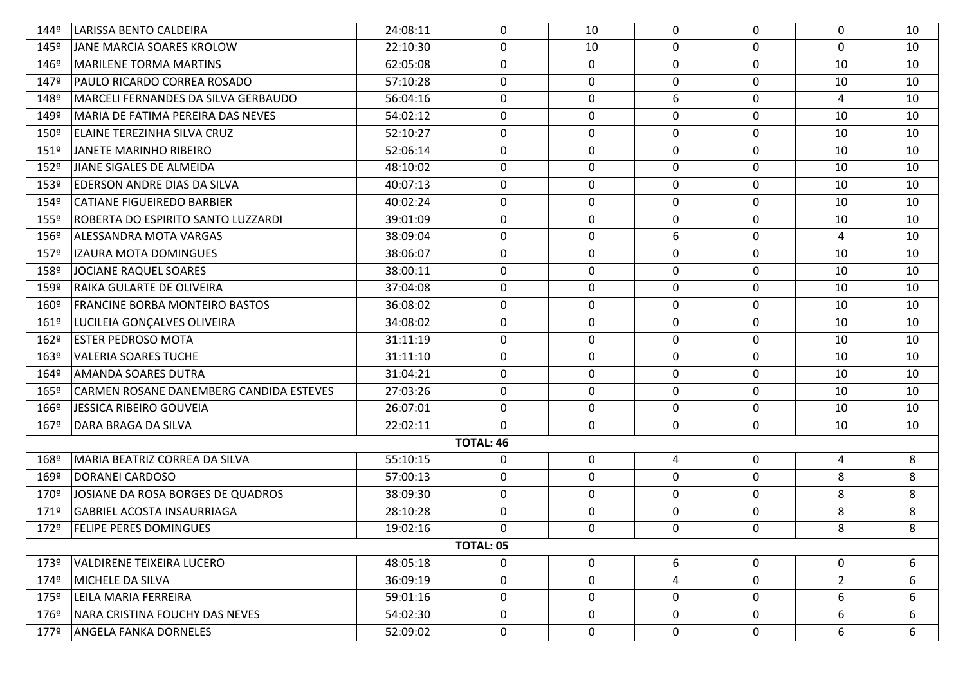| 144º                                                                                            | LARISSA BENTO CALDEIRA                  | 24:08:11 | $\Omega$         | 10          | $\mathbf 0$  | $\mathbf{0}$ | $\Omega$       | 10 |
|-------------------------------------------------------------------------------------------------|-----------------------------------------|----------|------------------|-------------|--------------|--------------|----------------|----|
| 145º                                                                                            | JANE MARCIA SOARES KROLOW               | 22:10:30 | 0                | 10          | 0            | $\mathbf 0$  | $\Omega$       | 10 |
| 146º                                                                                            | MARILENE TORMA MARTINS                  | 62:05:08 | $\mathbf 0$      | $\mathbf 0$ | 0            | 0            | 10             | 10 |
| 147º                                                                                            | PAULO RICARDO CORREA ROSADO             | 57:10:28 | 0                | $\mathbf 0$ | 0            | 0            | 10             | 10 |
| 148º                                                                                            | MARCELI FERNANDES DA SILVA GERBAUDO     | 56:04:16 | 0                | 0           | 6            | 0            | 4              | 10 |
| 149º                                                                                            | MARIA DE FATIMA PEREIRA DAS NEVES       | 54:02:12 | 0                | 0           | 0            | $\mathbf 0$  | 10             | 10 |
| 150º                                                                                            | <b>ELAINE TEREZINHA SILVA CRUZ</b>      | 52:10:27 | $\mathbf 0$      | 0           | 0            | $\mathbf 0$  | 10             | 10 |
| $151^{\circ}$                                                                                   | JANETE MARINHO RIBEIRO                  | 52:06:14 | 0                | 0           | 0            | 0            | 10             | 10 |
| 152º                                                                                            | JIANE SIGALES DE ALMEIDA                | 48:10:02 | 0                | 0           | $\mathbf{0}$ | 0            | 10             | 10 |
| 153º                                                                                            | EDERSON ANDRE DIAS DA SILVA             | 40:07:13 | 0                | 0           | 0            | 0            | 10             | 10 |
| 154º                                                                                            | <b>CATIANE FIGUEIREDO BARBIER</b>       | 40:02:24 | $\mathbf 0$      | 0           | 0            | $\mathbf 0$  | 10             | 10 |
| 155º                                                                                            | ROBERTA DO ESPIRITO SANTO LUZZARDI      | 39:01:09 | 0                | $\mathbf 0$ | 0            | 0            | 10             | 10 |
| 156º                                                                                            | ALESSANDRA MOTA VARGAS                  | 38:09:04 | 0                | 0           | 6            | 0            | 4              | 10 |
| 157º                                                                                            | IZAURA MOTA DOMINGUES                   | 38:06:07 | 0                | 0           | 0            | 0            | 10             | 10 |
| 158º                                                                                            | JOCIANE RAQUEL SOARES                   | 38:00:11 | 0                | 0           | 0            | 0            | 10             | 10 |
| 159º                                                                                            | RAIKA GULARTE DE OLIVEIRA               | 37:04:08 | 0                | 0           | 0            | 0            | 10             | 10 |
| 160º                                                                                            | <b>FRANCINE BORBA MONTEIRO BASTOS</b>   | 36:08:02 | 0                | 0           | 0            | 0            | 10             | 10 |
| 1619                                                                                            | LUCILEIA GONÇALVES OLIVEIRA             | 34:08:02 | 0                | $\mathbf 0$ | 0            | $\mathbf 0$  | 10             | 10 |
| 162º                                                                                            | <b>ESTER PEDROSO MOTA</b>               | 31:11:19 | 0                | 0           | 0            | 0            | 10             | 10 |
| 163º                                                                                            | <b>VALERIA SOARES TUCHE</b>             | 31:11:10 | 0                | $\mathbf 0$ | 0            | 0            | 10             | 10 |
| 164º                                                                                            | <b>AMANDA SOARES DUTRA</b>              | 31:04:21 | 0                | 0           | 0            | 0            | 10             | 10 |
| 165º                                                                                            | CARMEN ROSANE DANEMBERG CANDIDA ESTEVES | 27:03:26 | 0                | $\mathbf 0$ | $\mathbf 0$  | $\mathbf 0$  | 10             | 10 |
| 166º                                                                                            | JESSICA RIBEIRO GOUVEIA                 | 26:07:01 | 0                | $\mathbf 0$ | 0            | 0            | 10             | 10 |
| 1679                                                                                            | DARA BRAGA DA SILVA                     | 22:02:11 | $\mathbf 0$      | $\mathbf 0$ | 0            | $\mathbf 0$  | 10             | 10 |
|                                                                                                 |                                         |          | <b>TOTAL: 46</b> |             |              |              |                |    |
| 168º                                                                                            | MARIA BEATRIZ CORREA DA SILVA           | 55:10:15 | 0                | 0           | 4            | $\mathbf 0$  | 4              | 8  |
| 169º                                                                                            | DORANEI CARDOSO                         | 57:00:13 | 0                | $\mathbf 0$ | 0            | 0            | 8              | 8  |
| 170º                                                                                            | JOSIANE DA ROSA BORGES DE QUADROS       | 38:09:30 | 0                | $\mathbf 0$ | 0            | $\mathbf 0$  | 8              | 8  |
| 1719                                                                                            | <b>GABRIEL ACOSTA INSAURRIAGA</b>       | 28:10:28 | 0                | 0           | 0            | 0            | 8              | 8  |
| 172º                                                                                            | <b>FELIPE PERES DOMINGUES</b>           | 19:02:16 | 0                | $\mathbf 0$ | 0            | $\mathbf 0$  | 8              | 8  |
|                                                                                                 |                                         |          | TOTAL: 05        |             |              |              |                |    |
| $\mathbf 0$<br>6<br>$\mathbf 0$<br>6<br>48:05:18<br>0<br>0<br>173º<br>VALDIRENE TEIXEIRA LUCERO |                                         |          |                  |             |              |              |                |    |
| 174º                                                                                            | MICHELE DA SILVA                        | 36:09:19 | $\mathbf 0$      | 0           | 4            | $\mathbf 0$  | $\overline{2}$ | 6  |
| 175º                                                                                            | LEILA MARIA FERREIRA                    | 59:01:16 | $\mathbf 0$      | $\mathbf 0$ | 0            | $\mathbf 0$  | 6              | 6  |
| 176º                                                                                            | NARA CRISTINA FOUCHY DAS NEVES          | 54:02:30 | 0                | 0           | 0            | $\mathbf 0$  | 6              | 6  |
| 1779                                                                                            | <b>ANGELA FANKA DORNELES</b>            | 52:09:02 | 0                | 0           | 0            | 0            | 6              | 6  |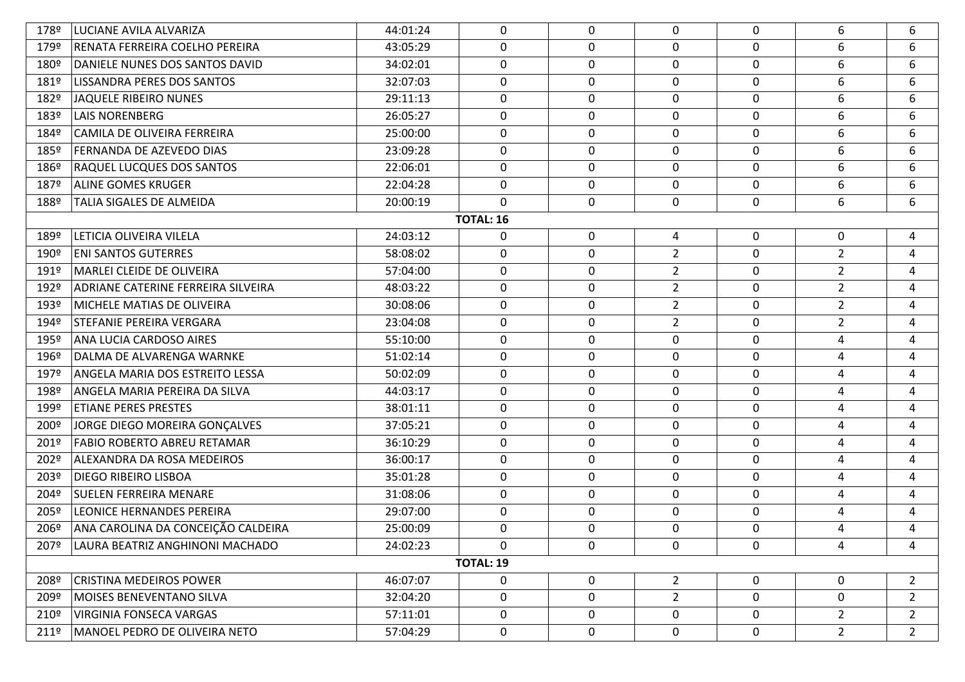| 178º             | LUCIANE AVILA ALVARIZA             | 44:01:24 | 0 | $\mathbf 0$      | 0              | $\Omega$    | 6              | 6              |  |  |
|------------------|------------------------------------|----------|---|------------------|----------------|-------------|----------------|----------------|--|--|
| 179º             | RENATA FERREIRA COELHO PEREIRA     | 43:05:29 | 0 | 0                | 0              | 0           | 6              | 6              |  |  |
| 180º             | DANIELE NUNES DOS SANTOS DAVID     | 34:02:01 | 0 | $\mathbf 0$      | 0              | 0           | 6              | 6              |  |  |
| 181º             | <b>LISSANDRA PERES DOS SANTOS</b>  | 32:07:03 | 0 | $\mathbf 0$      | $\mathbf 0$    | $\mathbf 0$ | 6              | 6              |  |  |
| 182º             | JAQUELE RIBEIRO NUNES              | 29:11:13 | 0 | $\mathbf 0$      | 0              | 0           | 6              | 6              |  |  |
| 183º             | <b>LAIS NORENBERG</b>              | 26:05:27 | 0 | 0                | $\mathbf 0$    | $\mathbf 0$ | 6              | 6              |  |  |
| 184º             | CAMILA DE OLIVEIRA FERREIRA        | 25:00:00 | 0 | $\mathbf 0$      | 0              | 0           | 6              | 6              |  |  |
| 185º             | <b>FERNANDA DE AZEVEDO DIAS</b>    | 23:09:28 | 0 | $\mathbf 0$      | $\mathbf 0$    | $\mathbf 0$ | 6              | 6              |  |  |
| 186º             | <b>RAQUEL LUCQUES DOS SANTOS</b>   | 22:06:01 | 0 | $\mathbf 0$      | 0              | 0           | 6              | 6              |  |  |
| 187º             | <b>ALINE GOMES KRUGER</b>          | 22:04:28 | 0 | 0                | $\mathbf 0$    | $\mathbf 0$ | 6              | 6              |  |  |
| 188º             | TALIA SIGALES DE ALMEIDA           | 20:00:19 | 0 | $\mathbf 0$      | 0              | 0           | 6              | 6              |  |  |
| <b>TOTAL: 16</b> |                                    |          |   |                  |                |             |                |                |  |  |
| 189º             | LETICIA OLIVEIRA VILELA            | 24:03:12 | 0 | $\mathbf 0$      | 4              | 0           | 0              | 4              |  |  |
| 190º             | <b>ENI SANTOS GUTERRES</b>         | 58:08:02 | 0 | 0                | $\overline{2}$ | $\mathbf 0$ | $\overline{2}$ | 4              |  |  |
| 191º             | MARLEI CLEIDE DE OLIVEIRA          | 57:04:00 | 0 | $\mathbf 0$      | $\overline{2}$ | 0           | $\overline{2}$ | 4              |  |  |
| 192º             | ADRIANE CATERINE FERREIRA SILVEIRA | 48:03:22 | 0 | $\mathbf 0$      | $\overline{2}$ | $\mathbf 0$ | $\overline{2}$ | 4              |  |  |
| 193º             | MICHELE MATIAS DE OLIVEIRA         | 30:08:06 | 0 | $\mathbf 0$      | $\overline{2}$ | 0           | $\overline{2}$ | 4              |  |  |
| 194º             | STEFANIE PEREIRA VERGARA           | 23:04:08 | 0 | $\mathbf 0$      | $\overline{2}$ | $\mathbf 0$ | $\overline{2}$ | 4              |  |  |
| 195º             | ANA LUCIA CARDOSO AIRES            | 55:10:00 | 0 | $\mathbf 0$      | $\mathbf 0$    | 0           | 4              | 4              |  |  |
| 196º             | DALMA DE ALVARENGA WARNKE          | 51:02:14 | 0 | $\mathbf 0$      | 0              | $\mathbf 0$ | 4              | 4              |  |  |
| 197º             | ANGELA MARIA DOS ESTREITO LESSA    | 50:02:09 | 0 | $\mathbf 0$      | 0              | 0           | 4              | 4              |  |  |
| 198º             | ANGELA MARIA PEREIRA DA SILVA      | 44:03:17 | 0 | 0                | 0              | $\mathbf 0$ | 4              | 4              |  |  |
| 199º             | <b>ETIANE PERES PRESTES</b>        | 38:01:11 | 0 | $\mathbf 0$      | 0              | $\mathbf 0$ | 4              | 4              |  |  |
| 200º             | JORGE DIEGO MOREIRA GONÇALVES      | 37:05:21 | 0 | $\mathbf 0$      | 0              | $\mathbf 0$ | 4              | 4              |  |  |
| 201º             | <b>FABIO ROBERTO ABREU RETAMAR</b> | 36:10:29 | 0 | $\mathbf 0$      | 0              | 0           | 4              | 4              |  |  |
| 202º             | ALEXANDRA DA ROSA MEDEIROS         | 36:00:17 | 0 | 0                | 0              | $\mathbf 0$ | 4              | 4              |  |  |
| 203º             | <b>DIEGO RIBEIRO LISBOA</b>        | 35:01:28 | 0 | $\mathbf 0$      | $\mathbf 0$    | $\mathbf 0$ | 4              | 4              |  |  |
| 204º             | <b>SUELEN FERREIRA MENARE</b>      | 31:08:06 | 0 | $\mathbf 0$      | 0              | 0           | 4              | 4              |  |  |
| 205º             | <b>LEONICE HERNANDES PEREIRA</b>   | 29:07:00 | 0 | $\mathbf 0$      | 0              | 0           | 4              | 4              |  |  |
| 206º             | ANA CAROLINA DA CONCEIÇÃO CALDEIRA | 25:00:09 | 0 | $\mathbf 0$      | 0              | $\Omega$    | 4              | 4              |  |  |
| 207º             | LAURA BEATRIZ ANGHINONI MACHADO    | 24:02:23 | 0 | $\mathbf 0$      | 0              | 0           | 4              | 4              |  |  |
|                  | <b>TOTAL: 19</b>                   |          |   |                  |                |             |                |                |  |  |
| 208º             | CRISTINA MEDEIROS POWER            | 46:07:07 | 0 | $\boldsymbol{0}$ | $\overline{2}$ | 0           | $\mathbf 0$    | $\overline{2}$ |  |  |
| 209º             | MOISES BENEVENTANO SILVA           | 32:04:20 | 0 | $\mathbf 0$      | $\overline{2}$ | 0           | $\mathbf 0$    | $\overline{2}$ |  |  |
| 210º             | <b>VIRGINIA FONSECA VARGAS</b>     | 57:11:01 | 0 | 0                | 0              | 0           | $\overline{2}$ | $\overline{2}$ |  |  |
| 211 <sup>°</sup> | MANOEL PEDRO DE OLIVEIRA NETO      | 57:04:29 | 0 | $\mathbf 0$      | 0              | $\mathbf 0$ | $2^{\circ}$    | $\overline{2}$ |  |  |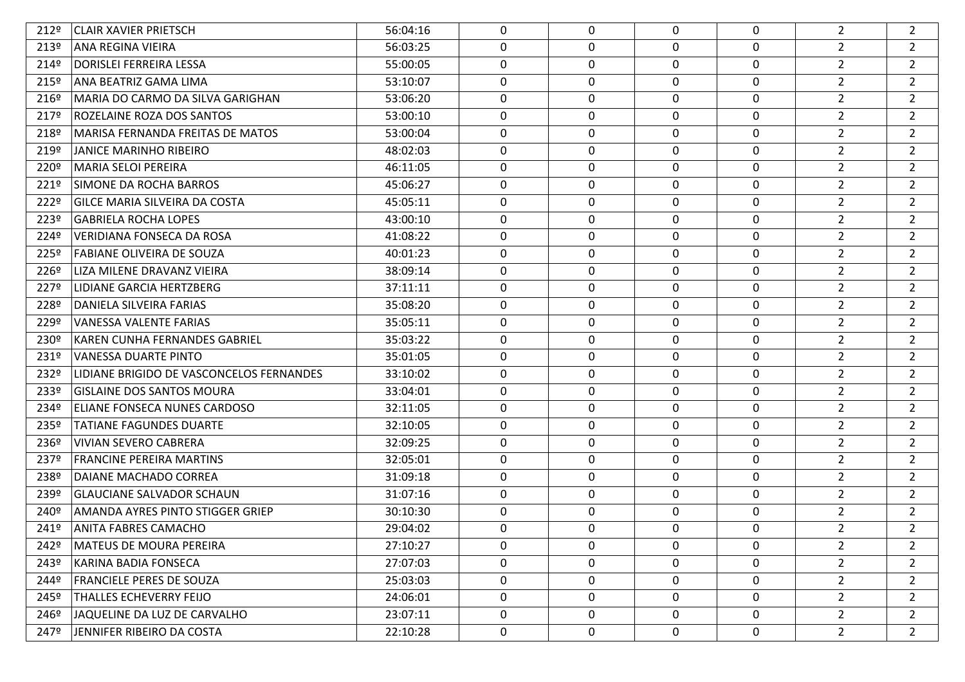| 212°             | CLAIR XAVIER PRIETSCH                    | 56:04:16 | 0           | $\mathbf 0$      | 0           | 0           | $\overline{2}$ | $\overline{2}$ |
|------------------|------------------------------------------|----------|-------------|------------------|-------------|-------------|----------------|----------------|
| 213º             | ANA REGINA VIEIRA                        | 56:03:25 | $\mathbf 0$ | $\mathbf 0$      | 0           | $\pmb{0}$   | $\overline{2}$ | $\overline{2}$ |
| 214º             | <b>DORISLEI FERREIRA LESSA</b>           | 55:00:05 | 0           | $\mathbf 0$      | 0           | 0           | $\overline{2}$ | $\overline{2}$ |
| 215º             | ANA BEATRIZ GAMA LIMA                    | 53:10:07 | 0           | 0                | 0           | 0           | $\overline{2}$ | $\overline{2}$ |
| 216º             | MARIA DO CARMO DA SILVA GARIGHAN         | 53:06:20 | 0           | $\mathbf 0$      | $\Omega$    | 0           | $\overline{2}$ | $\overline{2}$ |
| 217º             | ROZELAINE ROZA DOS SANTOS                | 53:00:10 | 0           | $\boldsymbol{0}$ | 0           | $\mathbf 0$ | $\mathbf{2}$   | $\overline{2}$ |
| 218º             | MARISA FERNANDA FREITAS DE MATOS         | 53:00:04 | 0           | $\mathbf 0$      | 0           | 0           | $\overline{2}$ | $\overline{2}$ |
| 219º             | JANICE MARINHO RIBEIRO                   | 48:02:03 | 0           | 0                | 0           | 0           | $\overline{2}$ | $\overline{2}$ |
| 220 <sup>o</sup> | MARIA SELOI PEREIRA                      | 46:11:05 | 0           | $\mathbf 0$      | $\Omega$    | 0           | $\overline{2}$ | $\overline{2}$ |
| 221º             | SIMONE DA ROCHA BARROS                   | 45:06:27 | 0           | $\boldsymbol{0}$ | 0           | $\mathbf 0$ | $\mathbf{2}$   | $\overline{2}$ |
| 222º             | <b>GILCE MARIA SILVEIRA DA COSTA</b>     | 45:05:11 | 0           | $\mathbf 0$      | 0           | 0           | $\overline{2}$ | $\overline{2}$ |
| 223º             | <b>GABRIELA ROCHA LOPES</b>              | 43:00:10 | 0           | 0                | 0           | 0           | $\overline{2}$ | $\overline{2}$ |
| 224º             | <b>VERIDIANA FONSECA DA ROSA</b>         | 41:08:22 | 0           | $\mathbf 0$      | $\Omega$    | 0           | $\overline{2}$ | $\overline{2}$ |
| 225º             | <b>FABIANE OLIVEIRA DE SOUZA</b>         | 40:01:23 | 0           | $\boldsymbol{0}$ | 0           | $\mathbf 0$ | $\overline{2}$ | $\overline{2}$ |
| 226º             | LIZA MILENE DRAVANZ VIEIRA               | 38:09:14 | 0           | $\mathbf 0$      | 0           | 0           | $\overline{2}$ | $\overline{2}$ |
| 227º             | LIDIANE GARCIA HERTZBERG                 | 37:11:11 | 0           | 0                | 0           | 0           | $\overline{2}$ | $\overline{2}$ |
| 228º             | DANIELA SILVEIRA FARIAS                  | 35:08:20 | 0           | 0                | 0           | 0           | $\overline{2}$ | $\overline{2}$ |
| 229º             | VANESSA VALENTE FARIAS                   | 35:05:11 | $\mathbf 0$ | $\mathbf 0$      | 0           | $\mathbf 0$ | $\overline{2}$ | $\overline{2}$ |
| 230 <sup>o</sup> | KAREN CUNHA FERNANDES GABRIEL            | 35:03:22 | 0           | 0                | 0           | 0           | $\overline{2}$ | $\overline{2}$ |
| 231º             | VANESSA DUARTE PINTO                     | 35:01:05 | 0           | 0                | 0           | 0           | $\overline{2}$ | $\overline{2}$ |
| 232º             | LIDIANE BRIGIDO DE VASCONCELOS FERNANDES | 33:10:02 | 0           | 0                | 0           | 0           | $\overline{2}$ | $\overline{2}$ |
| 233º             | <b>GISLAINE DOS SANTOS MOURA</b>         | 33:04:01 | $\mathbf 0$ | $\boldsymbol{0}$ | 0           | $\mathbf 0$ | $\overline{2}$ | $\overline{2}$ |
| 234º             | ELIANE FONSECA NUNES CARDOSO             | 32:11:05 | 0           | 0                | 0           | 0           | $\overline{2}$ | $\overline{2}$ |
| 235º             | TATIANE FAGUNDES DUARTE                  | 32:10:05 | 0           | $\mathbf 0$      | 0           | 0           | $\overline{2}$ | $\overline{2}$ |
| 236º             | VIVIAN SEVERO CABRERA                    | 32:09:25 | 0           | $\mathbf 0$      | 0           | 0           | $\overline{2}$ | $\overline{2}$ |
| 237º             | <b>FRANCINE PEREIRA MARTINS</b>          | 32:05:01 | $\mathbf 0$ | $\mathbf 0$      | 0           | $\pmb{0}$   | $\overline{2}$ | $\overline{2}$ |
| 238º             | DAIANE MACHADO CORREA                    | 31:09:18 | 0           | 0                | 0           | 0           | $\overline{2}$ | $\overline{2}$ |
| 239º             | <b>GLAUCIANE SALVADOR SCHAUN</b>         | 31:07:16 | 0           | 0                | 0           | $\mathbf 0$ | $\overline{2}$ | $\overline{2}$ |
| 240 <sup>o</sup> | AMANDA AYRES PINTO STIGGER GRIEP         | 30:10:30 | 0           | 0                | 0           | 0           | $\overline{2}$ | $\overline{2}$ |
| 241º             | <b>ANITA FABRES CAMACHO</b>              | 29:04:02 | 0           | $\mathbf 0$      | $\mathbf 0$ | $\mathbf 0$ | $\overline{2}$ | $\overline{2}$ |
| 242º             | MATEUS DE MOURA PEREIRA                  | 27:10:27 | 0           | 0                | 0           | $\mathbf 0$ | $\overline{2}$ | $\overline{2}$ |
| 243º             | KARINA BADIA FONSECA                     | 27:07:03 | $\mathbf 0$ | $\mathbf 0$      | $\mathbf 0$ | $\pmb{0}$   | $\overline{2}$ | $\overline{2}$ |
| 244º             | <b>FRANCIELE PERES DE SOUZA</b>          | 25:03:03 | $\mathbf 0$ | $\boldsymbol{0}$ | 0           | $\mathbf 0$ | $\overline{2}$ | $\overline{2}$ |
| 245º             | <b>THALLES ECHEVERRY FEIJO</b>           | 24:06:01 | $\mathbf 0$ | $\mathbf 0$      | $\mathbf 0$ | $\mathbf 0$ | $2^{\circ}$    | $\overline{2}$ |
| 246º             | JAQUELINE DA LUZ DE CARVALHO             | 23:07:11 | 0           | 0                | 0           | $\mathbf 0$ | $\overline{2}$ | $\overline{2}$ |
| 247º             | JENNIFER RIBEIRO DA COSTA                | 22:10:28 | 0           | 0                | 0           | 0           | $\overline{2}$ | $\overline{2}$ |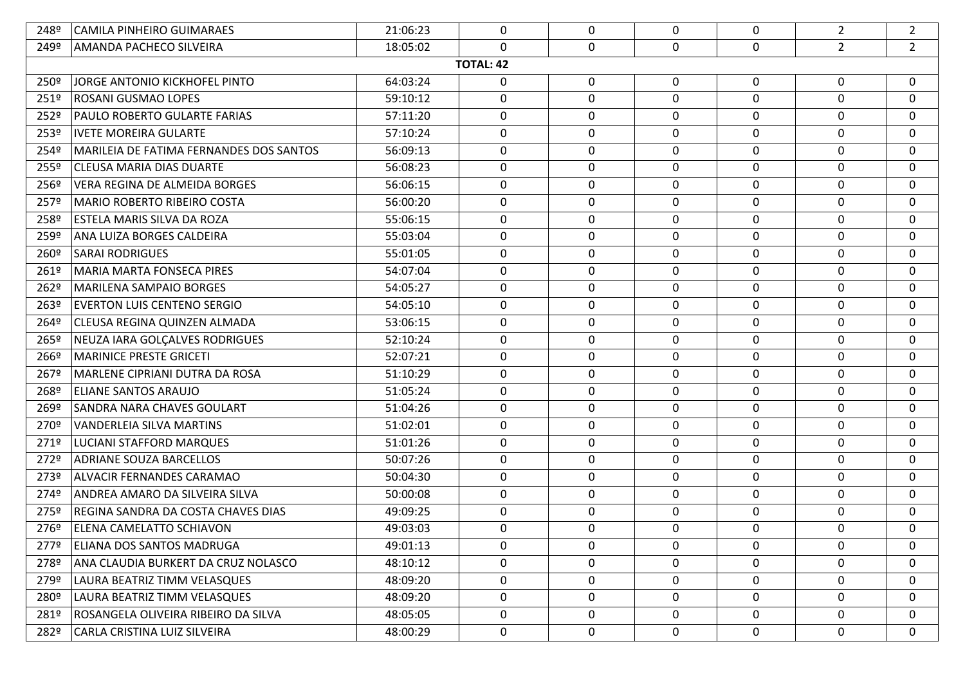| 248º             | CAMILA PINHEIRO GUIMARAES               | 21:06:23 | 0                | $\mathbf 0$      | $\mathbf 0$  | $\mathbf 0$      | $\overline{2}$ | $\overline{2}$ |
|------------------|-----------------------------------------|----------|------------------|------------------|--------------|------------------|----------------|----------------|
| 249º             | AMANDA PACHECO SILVEIRA                 | 18:05:02 | 0                | $\mathbf 0$      | 0            | $\mathbf 0$      | $\overline{2}$ | $\overline{2}$ |
|                  |                                         |          | <b>TOTAL: 42</b> |                  |              |                  |                |                |
| 250º             | JORGE ANTONIO KICKHOFEL PINTO           | 64:03:24 | 0                | 0                | 0            | 0                | 0              | 0              |
| 251º             | <b>ROSANI GUSMAO LOPES</b>              | 59:10:12 | 0                | $\mathbf 0$      | $\mathbf 0$  | $\Omega$         | $\mathbf{0}$   | $\mathbf 0$    |
| 252º             | PAULO ROBERTO GULARTE FARIAS            | 57:11:20 | 0                | $\boldsymbol{0}$ | 0            | $\mathbf 0$      | 0              | 0              |
| 253º             | <b>IVETE MOREIRA GULARTE</b>            | 57:10:24 | 0                | $\mathbf 0$      | 0            | 0                | 0              | $\mathbf 0$    |
| 254º             | MARILEIA DE FATIMA FERNANDES DOS SANTOS | 56:09:13 | 0                | $\mathbf 0$      | 0            | 0                | 0              | 0              |
| 255º             | <b>CLEUSA MARIA DIAS DUARTE</b>         | 56:08:23 | 0                | $\mathbf 0$      | $\mathbf{0}$ | 0                | 0              | $\mathbf 0$    |
| 256º             | VERA REGINA DE ALMEIDA BORGES           | 56:06:15 | 0                | $\boldsymbol{0}$ | 0            | $\mathbf 0$      | 0              | 0              |
| 257º             | <b>MARIO ROBERTO RIBEIRO COSTA</b>      | 56:00:20 | 0                | $\mathbf 0$      | 0            | $\mathbf 0$      | 0              | $\mathbf 0$    |
| 258º             | <b>ESTELA MARIS SILVA DA ROZA</b>       | 55:06:15 | 0                | 0                | 0            | 0                | 0              | $\mathbf 0$    |
| 259º             | ANA LUIZA BORGES CALDEIRA               | 55:03:04 | 0                | $\mathbf 0$      | 0            | 0                | 0              | $\mathbf 0$    |
| 260º             | <b>SARAI RODRIGUES</b>                  | 55:01:05 | 0                | $\boldsymbol{0}$ | 0            | $\mathbf 0$      | 0              | 0              |
| 261 <sup>o</sup> | <b>MARIA MARTA FONSECA PIRES</b>        | 54:07:04 | 0                | $\mathbf 0$      | 0            | 0                | 0              | $\mathbf 0$    |
| 262º             | MARILENA SAMPAIO BORGES                 | 54:05:27 | 0                | 0                | 0            | 0                | 0              | $\mathbf 0$    |
| 263º             | <b>EVERTON LUIS CENTENO SERGIO</b>      | 54:05:10 | 0                | $\mathbf 0$      | 0            | 0                | $\mathbf 0$    | $\mathbf 0$    |
| 264º             | CLEUSA REGINA QUINZEN ALMADA            | 53:06:15 | 0                | $\bf{0}$         | 0            | $\boldsymbol{0}$ | 0              | $\mathbf 0$    |
| 265º             | NEUZA IARA GOLCALVES RODRIGUES          | 52:10:24 | 0                | $\mathbf 0$      | 0            | 0                | $\mathbf 0$    | 0              |
| 266º             | MARINICE PRESTE GRICETI                 | 52:07:21 | 0                | $\mathbf 0$      | 0            | 0                | 0              | 0              |
| 267º             | MARLENE CIPRIANI DUTRA DA ROSA          | 51:10:29 | 0                | $\mathbf 0$      | 0            | 0                | $\mathbf 0$    | $\mathbf 0$    |
| 268º             | <b>ELIANE SANTOS ARAUJO</b>             | 51:05:24 | 0                | $\boldsymbol{0}$ | 0            | $\boldsymbol{0}$ | 0              | 0              |
| 269º             | SANDRA NARA CHAVES GOULART              | 51:04:26 | 0                | $\mathbf 0$      | 0            | 0                | $\mathbf 0$    | $\mathbf 0$    |
| 270 <sup>o</sup> | VANDERLEIA SILVA MARTINS                | 51:02:01 | 0                | $\mathbf 0$      | 0            | $\mathbf 0$      | 0              | $\mathbf 0$    |
| 271º             | LUCIANI STAFFORD MARQUES                | 51:01:26 | 0                | 0                | 0            | 0                | $\mathbf 0$    | $\mathbf 0$    |
| 272º             | <b>ADRIANE SOUZA BARCELLOS</b>          | 50:07:26 | 0                | $\mathbf 0$      | 0            | $\boldsymbol{0}$ | 0              | $\mathbf 0$    |
| 273º             | ALVACIR FERNANDES CARAMAO               | 50:04:30 | 0                | $\mathbf 0$      | 0            | 0                | $\mathbf 0$    | $\mathbf 0$    |
| 274º             | ANDREA AMARO DA SILVEIRA SILVA          | 50:00:08 | 0                | $\mathbf 0$      | 0            | $\mathbf 0$      | 0              | 0              |
| 275º             | REGINA SANDRA DA COSTA CHAVES DIAS      | 49:09:25 | 0                | $\mathbf 0$      | 0            | 0                | $\mathbf 0$    | 0              |
| 276º             | <b>ELENA CAMELATTO SCHIAVON</b>         | 49:03:03 | 0                | $\mathbf 0$      | 0            | $\mathbf 0$      | 0              | $\mathbf 0$    |
| 277º             | <b>ELIANA DOS SANTOS MADRUGA</b>        | 49:01:13 | 0                | $\mathbf 0$      | $\mathbf 0$  | $\mathbf 0$      | $\mathbf 0$    | $\mathbf 0$    |
| 278º             | ANA CLAUDIA BURKERT DA CRUZ NOLASCO     | 48:10:12 | 0                | $\mathbf 0$      | 0            | 0                | 0              | $\mathbf 0$    |
| 279º             | LAURA BEATRIZ TIMM VELASQUES            | 48:09:20 | 0                | $\mathbf 0$      | $\mathbf 0$  | $\mathbf 0$      | 0              | 0              |
| 280 <sup>o</sup> | LAURA BEATRIZ TIMM VELASQUES            | 48:09:20 | 0                | $\mathbf 0$      | 0            | $\mathbf 0$      | 0              | $\mathbf 0$    |
| 281º             | ROSANGELA OLIVEIRA RIBEIRO DA SILVA     | 48:05:05 | 0                | 0                | 0            | $\mathbf 0$      | $\mathbf 0$    | 0              |
| 282º             | CARLA CRISTINA LUIZ SILVEIRA            | 48:00:29 | 0                | 0                | 0            | 0                | 0              | $\mathbf 0$    |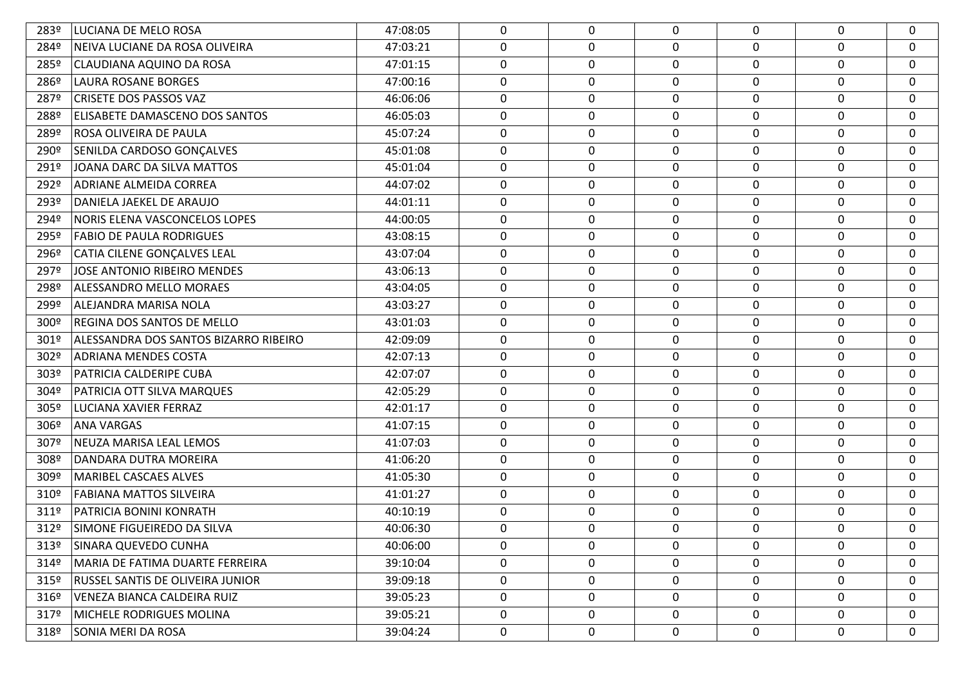| 283º             | LUCIANA DE MELO ROSA                  | 47:08:05 | 0           | $\mathbf 0$ | 0           | 0           | $\mathbf 0$ | 0           |
|------------------|---------------------------------------|----------|-------------|-------------|-------------|-------------|-------------|-------------|
| 284º             | NEIVA LUCIANE DA ROSA OLIVEIRA        | 47:03:21 | 0           | 0           | 0           | 0           | 0           | $\mathbf 0$ |
| 285º             | CLAUDIANA AQUINO DA ROSA              | 47:01:15 | 0           | $\mathbf 0$ | 0           | 0           | 0           | 0           |
| 286 <sup>o</sup> | LAURA ROSANE BORGES                   | 47:00:16 | 0           | 0           | 0           | 0           | 0           | $\mathbf 0$ |
| 287º             | <b>CRISETE DOS PASSOS VAZ</b>         | 46:06:06 | 0           | $\mathbf 0$ | 0           | 0           | 0           | $\mathbf 0$ |
| 288º             | ELISABETE DAMASCENO DOS SANTOS        | 46:05:03 | 0           | 0           | 0           | 0           | 0           | 0           |
| 289º             | ROSA OLIVEIRA DE PAULA                | 45:07:24 | 0           | $\mathbf 0$ | 0           | 0           | 0           | $\mathbf 0$ |
| 290º             | SENILDA CARDOSO GONÇALVES             | 45:01:08 | 0           | 0           | 0           | 0           | 0           | $\mathbf 0$ |
| 291º             | JOANA DARC DA SILVA MATTOS            | 45:01:04 | 0           | $\mathbf 0$ | 0           | 0           | 0           | $\mathbf 0$ |
| 292º             | ADRIANE ALMEIDA CORREA                | 44:07:02 | 0           | 0           | 0           | 0           | 0           | 0           |
| 293º             | DANIELA JAEKEL DE ARAUJO              | 44:01:11 | 0           | $\mathbf 0$ | 0           | 0           | 0           | $\mathbf 0$ |
| 294º             | NORIS ELENA VASCONCELOS LOPES         | 44:00:05 | 0           | 0           | 0           | 0           | 0           | $\mathbf 0$ |
| 295º             | <b>FABIO DE PAULA RODRIGUES</b>       | 43:08:15 | 0           | $\mathbf 0$ | 0           | 0           | $\mathbf 0$ | $\mathbf 0$ |
| 296º             | CATIA CILENE GONÇALVES LEAL           | 43:07:04 | 0           | 0           | 0           | 0           | 0           | 0           |
| 297º             | <b>JOSE ANTONIO RIBEIRO MENDES</b>    | 43:06:13 | 0           | $\mathbf 0$ | 0           | 0           | 0           | $\mathbf 0$ |
| 298º             | ALESSANDRO MELLO MORAES               | 43:04:05 | 0           | $\mathbf 0$ | 0           | 0           | 0           | 0           |
| 299º             | ALEJANDRA MARISA NOLA                 | 43:03:27 | 0           | $\mathbf 0$ | 0           | 0           | 0           | 0           |
| 300 <sup>o</sup> | <b>REGINA DOS SANTOS DE MELLO</b>     | 43:01:03 | $\mathbf 0$ | 0           | 0           | $\mathbf 0$ | $\mathbf 0$ | 0           |
| 301º             | ALESSANDRA DOS SANTOS BIZARRO RIBEIRO | 42:09:09 | 0           | $\mathbf 0$ | 0           | 0           | 0           | 0           |
| 302º             | ADRIANA MENDES COSTA                  | 42:07:13 | 0           | 0           | 0           | 0           | 0           | 0           |
| 303º             | PATRICIA CALDERIPE CUBA               | 42:07:07 | 0           | $\mathbf 0$ | 0           | 0           | $\mathbf 0$ | 0           |
| 304º             | PATRICIA OTT SILVA MARQUES            | 42:05:29 | $\mathbf 0$ | 0           | 0           | 0           | $\mathbf 0$ | 0           |
| 305º             | <b>LUCIANA XAVIER FERRAZ</b>          | 42:01:17 | $\mathbf 0$ | $\mathbf 0$ | $\mathbf 0$ | $\mathbf 0$ | 0           | 0           |
| 306 <sup>°</sup> | <b>ANA VARGAS</b>                     | 41:07:15 | 0           | $\mathbf 0$ | 0           | 0           | 0           | 0           |
| 307º             | NEUZA MARISA LEAL LEMOS               | 41:07:03 | 0           | $\mathbf 0$ | $\mathbf 0$ | 0           | 0           | 0           |
| 308º             | DANDARA DUTRA MOREIRA                 | 41:06:20 | 0           | 0           | 0           | 0           | 0           | 0           |
| 309º             | <b>MARIBEL CASCAES ALVES</b>          | 41:05:30 | $\mathbf 0$ | $\mathbf 0$ | $\mathbf 0$ | $\mathbf 0$ | 0           | 0           |
| 310 <sup>o</sup> | <b>FABIANA MATTOS SILVEIRA</b>        | 41:01:27 | 0           | $\mathbf 0$ | 0           | 0           | 0           | 0           |
| 311º             | <b>PATRICIA BONINI KONRATH</b>        | 40:10:19 | $\mathbf 0$ | $\mathbf 0$ | $\mathbf 0$ | $\mathbf 0$ | 0           | 0           |
| 312º             | SIMONE FIGUEIREDO DA SILVA            | 40:06:30 | 0           | 0           | 0           | 0           | $\Omega$    | 0           |
| 313º             | SINARA QUEVEDO CUNHA                  | 40:06:00 | 0           | 0           | 0           | 0           | $\mathbf 0$ | 0           |
| 314º             | MARIA DE FATIMA DUARTE FERREIRA       | 39:10:04 | 0           | 0           | 0           | 0           | 0           | 0           |
| 315 <sup>°</sup> | RUSSEL SANTIS DE OLIVEIRA JUNIOR      | 39:09:18 | 0           | 0           | $\mathbf 0$ | 0           | $\mathbf 0$ | 0           |
| 3169             | <b>VENEZA BIANCA CALDEIRA RUIZ</b>    | 39:05:23 | 0           | 0           | 0           | 0           | 0           | 0           |
| 317º             | MICHELE RODRIGUES MOLINA              | 39:05:21 | 0           | 0           | 0           | 0           | $\mathbf 0$ | 0           |
| 318º             | SONIA MERI DA ROSA                    | 39:04:24 | 0           | $\mathbf 0$ | 0           | 0           | 0           | 0           |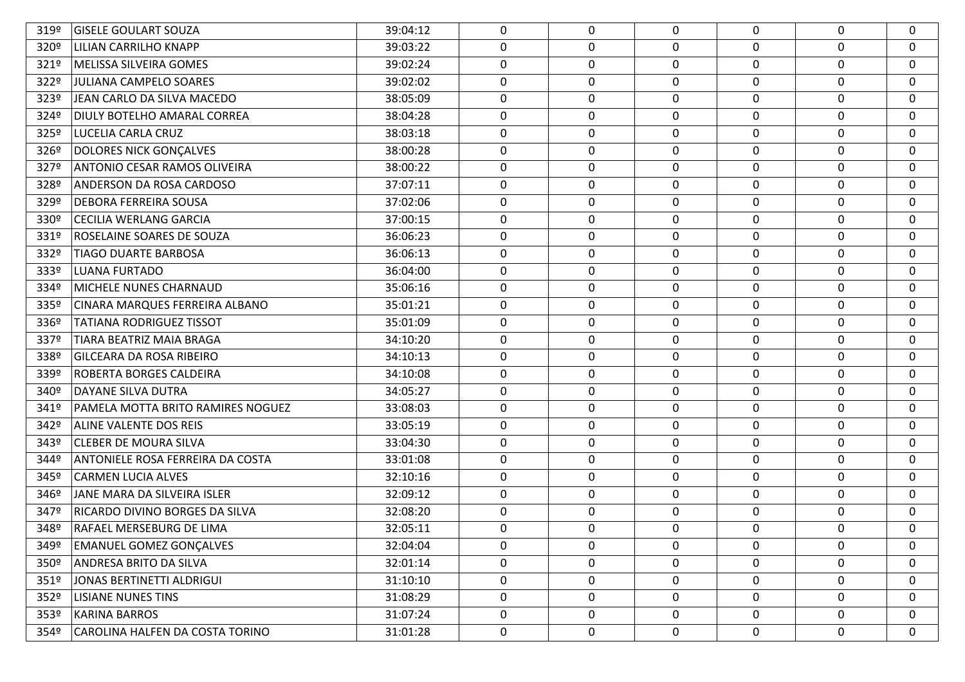| 319º             | <b>GISELE GOULART SOUZA</b>       | 39:04:12 | 0 | 0                | $\Omega$ | $\Omega$    | $\Omega$ | $\mathbf{0}$ |
|------------------|-----------------------------------|----------|---|------------------|----------|-------------|----------|--------------|
| 320º             | <b>LILIAN CARRILHO KNAPP</b>      | 39:03:22 | 0 | 0                | 0        | $\Omega$    | 0        | 0            |
| 321º             | MELISSA SILVEIRA GOMES            | 39:02:24 | 0 | $\boldsymbol{0}$ | 0        | 0           | 0        | 0            |
| 322º             | JULIANA CAMPELO SOARES            | 39:02:02 | 0 | $\mathbf 0$      | 0        | $\mathbf 0$ | $\Omega$ | 0            |
| 323º             | JEAN CARLO DA SILVA MACEDO        | 38:05:09 | 0 | $\mathbf 0$      | 0        | 0           | 0        | 0            |
| 324º             | DIULY BOTELHO AMARAL CORREA       | 38:04:28 | 0 | 0                | 0        | $\Omega$    | $\Omega$ | 0            |
| 325º             | LUCELIA CARLA CRUZ                | 38:03:18 | 0 | $\boldsymbol{0}$ | 0        | 0           | 0        | 0            |
| 326 <sup>o</sup> | <b>DOLORES NICK GONÇALVES</b>     | 38:00:28 | 0 | 0                | 0        | $\Omega$    | $\Omega$ | 0            |
| 327º             | ANTONIO CESAR RAMOS OLIVEIRA      | 38:00:22 | 0 | $\mathbf 0$      | 0        | 0           | 0        | 0            |
| 328º             | <b>ANDERSON DA ROSA CARDOSO</b>   | 37:07:11 | 0 | $\mathbf 0$      | 0        | $\Omega$    | 0        | 0            |
| 329º             | <b>DEBORA FERREIRA SOUSA</b>      | 37:02:06 | 0 | $\boldsymbol{0}$ | 0        | 0           | 0        | 0            |
| 330º             | <b>CECILIA WERLANG GARCIA</b>     | 37:00:15 | 0 | 0                | 0        | $\Omega$    | 0        | 0            |
| 331º             | ROSELAINE SOARES DE SOUZA         | 36:06:23 | 0 | $\mathbf 0$      | 0        | 0           | 0        | 0            |
| 332º             | <b>TIAGO DUARTE BARBOSA</b>       | 36:06:13 | 0 | 0                | 0        | 0           | 0        | 0            |
| 333º             | <b>LUANA FURTADO</b>              | 36:04:00 | 0 | $\mathbf 0$      | 0        | $\mathbf 0$ | 0        | 0            |
| 334º             | MICHELE NUNES CHARNAUD            | 35:06:16 | 0 | 0                | 0        | $\Omega$    | 0        | 0            |
| 335º             | CINARA MARQUES FERREIRA ALBANO    | 35:01:21 | 0 | $\mathbf 0$      | $\Omega$ | $\mathbf 0$ | $\Omega$ | 0            |
| 336º             | <b>TATIANA RODRIGUEZ TISSOT</b>   | 35:01:09 | 0 | 0                | 0        | 0           | 0        | $\mathbf 0$  |
| 337º             | TIARA BEATRIZ MAIA BRAGA          | 34:10:20 | 0 | $\mathbf 0$      | 0        | $\mathbf 0$ | 0        | 0            |
| 338º             | <b>GILCEARA DA ROSA RIBEIRO</b>   | 34:10:13 | 0 | 0                | 0        | $\Omega$    | 0        | 0            |
| 339º             | ROBERTA BORGES CALDEIRA           | 34:10:08 | 0 | $\mathbf 0$      | $\Omega$ | 0           | $\Omega$ | 0            |
| 340°             | <b>DAYANE SILVA DUTRA</b>         | 34:05:27 | 0 | 0                | 0        | 0           | 0        | 0            |
| 341º             | PAMELA MOTTA BRITO RAMIRES NOGUEZ | 33:08:03 | 0 | $\boldsymbol{0}$ | 0        | $\mathbf 0$ | 0        | 0            |
| 342º             | ALINE VALENTE DOS REIS            | 33:05:19 | 0 | 0                | 0        | 0           | 0        | $\mathbf 0$  |
| 343º             | <b>CLEBER DE MOURA SILVA</b>      | 33:04:30 | 0 | $\mathbf 0$      | 0        | 0           | 0        | 0            |
| 344º             | ANTONIELE ROSA FERREIRA DA COSTA  | 33:01:08 | 0 | 0                | 0        | 0           | 0        | $\mathbf 0$  |
| 345º             | <b>CARMEN LUCIA ALVES</b>         | 32:10:16 | 0 | $\mathbf 0$      | 0        | 0           | 0        | 0            |
| 346º             | JANE MARA DA SILVEIRA ISLER       | 32:09:12 | 0 | 0                | 0        | 0           | 0        | $\mathbf 0$  |
| 347º             | RICARDO DIVINO BORGES DA SILVA    | 32:08:20 | 0 | $\mathbf 0$      | 0        | 0           | 0        | 0            |
| 348º             | RAFAEL MERSEBURG DE LIMA          | 32:05:11 | 0 | 0                | 0        | $\mathbf 0$ | $\Omega$ | $\Omega$     |
| 349º             | <b>EMANUEL GOMEZ GONCALVES</b>    | 32:04:04 | 0 | 0                | 0        | 0           | 0        | $\mathbf 0$  |
| 350 <sup>o</sup> | ANDRESA BRITO DA SILVA            | 32:01:14 | 0 | 0                | 0        | 0           | 0        | 0            |
| 351º             | JONAS BERTINETTI ALDRIGUI         | 31:10:10 | 0 | $\boldsymbol{0}$ | 0        | 0           | 0        | 0            |
| 352º             | <b>LISIANE NUNES TINS</b>         | 31:08:29 | 0 | $\mathbf 0$      | 0        | $\mathbf 0$ | 0        | $\mathbf 0$  |
| 353 <sup>°</sup> | <b>KARINA BARROS</b>              | 31:07:24 | 0 | 0                | 0        | 0           | 0        | 0            |
| 354º             | CAROLINA HALFEN DA COSTA TORINO   | 31:01:28 | 0 | $\mathbf 0$      | 0        | $\mathbf 0$ | 0        | $\mathbf 0$  |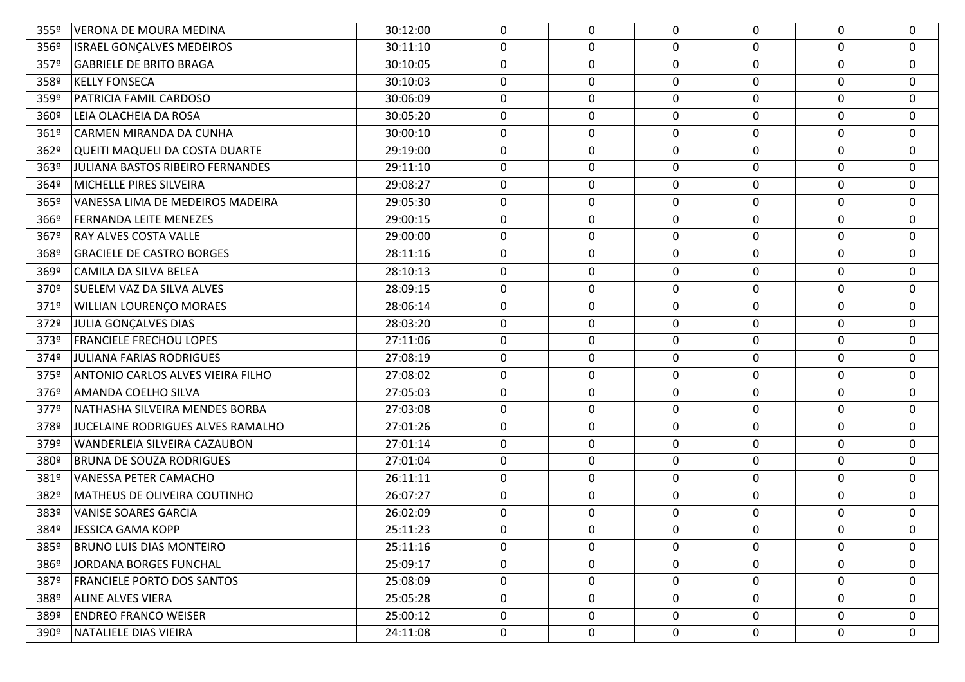| 355º             | <b>VERONA DE MOURA MEDINA</b>            | 30:12:00 | $\mathbf{0}$ | 0           | $\Omega$    | $\Omega$    | 0                | 0        |
|------------------|------------------------------------------|----------|--------------|-------------|-------------|-------------|------------------|----------|
| 356º             | <b>ISRAEL GONÇALVES MEDEIROS</b>         | 30:11:10 | $\mathbf 0$  | 0           | 0           | 0           | 0                | 0        |
| 357º             | <b>GABRIELE DE BRITO BRAGA</b>           | 30:10:05 | 0            | 0           | 0           | 0           | $\boldsymbol{0}$ | 0        |
| 358º             | <b>KELLY FONSECA</b>                     | 30:10:03 | $\mathbf 0$  | $\mathbf 0$ | 0           | $\mathbf 0$ | $\mathbf 0$      | 0        |
| 359º             | PATRICIA FAMIL CARDOSO                   | 30:06:09 | 0            | 0           | 0           | 0           | $\boldsymbol{0}$ | 0        |
| 360 <sup>o</sup> | LEIA OLACHEIA DA ROSA                    | 30:05:20 | $\mathbf 0$  | $\pmb{0}$   | 0           | $\pmb{0}$   | $\boldsymbol{0}$ | 0        |
| 361º             | CARMEN MIRANDA DA CUNHA                  | 30:00:10 | 0            | 0           | 0           | 0           | 0                | 0        |
| 362º             | QUEITI MAQUELI DA COSTA DUARTE           | 29:19:00 | $\mathbf 0$  | $\mathbf 0$ | 0           | $\mathbf 0$ | $\mathbf 0$      | 0        |
| 363º             | JULIANA BASTOS RIBEIRO FERNANDES         | 29:11:10 | 0            | 0           | 0           | 0           | $\boldsymbol{0}$ | 0        |
| 364º             | MICHELLE PIRES SILVEIRA                  | 29:08:27 | $\mathbf 0$  | $\pmb{0}$   | 0           | $\pmb{0}$   | $\boldsymbol{0}$ | 0        |
| 365º             | VANESSA LIMA DE MEDEIROS MADEIRA         | 29:05:30 | 0            | 0           | 0           | 0           | $\boldsymbol{0}$ | 0        |
| 3669             | <b>FERNANDA LEITE MENEZES</b>            | 29:00:15 | $\mathbf 0$  | $\mathbf 0$ | 0           | $\mathbf 0$ | $\mathbf 0$      | 0        |
| 367º             | <b>RAY ALVES COSTA VALLE</b>             | 29:00:00 | 0            | $\mathbf 0$ | $\mathbf 0$ | 0           | $\boldsymbol{0}$ | 0        |
| 368º             | <b>GRACIELE DE CASTRO BORGES</b>         | 28:11:16 | $\mathbf 0$  | $\pmb{0}$   | 0           | $\pmb{0}$   | $\boldsymbol{0}$ | 0        |
| 369º             | CAMILA DA SILVA BELEA                    | 28:10:13 | $\mathbf 0$  | $\pmb{0}$   | 0           | 0           | 0                | 0        |
| 370º             | <b>SUELEM VAZ DA SILVA ALVES</b>         | 28:09:15 | 0            | 0           | 0           | 0           | $\mathbf 0$      | 0        |
| 371º             | <b>WILLIAN LOURENÇO MORAES</b>           | 28:06:14 | 0            | 0           | 0           | 0           | $\mathbf 0$      | 0        |
| 372º             | JULIA GONÇALVES DIAS                     | 28:03:20 | 0            | 0           | 0           | 0           | $\mathbf 0$      | 0        |
| 373º             | <b>FRANCIELE FRECHOU LOPES</b>           | 27:11:06 | 0            | 0           | 0           | 0           | $\mathbf 0$      | 0        |
| 374º             | <b>JULIANA FARIAS RODRIGUES</b>          | 27:08:19 | 0            | 0           | 0           | 0           | $\mathbf 0$      | 0        |
| 375º             | ANTONIO CARLOS ALVES VIEIRA FILHO        | 27:08:02 | 0            | 0           | 0           | 0           | 0                | 0        |
| 376º             | AMANDA COELHO SILVA                      | 27:05:03 | 0            | 0           | 0           | 0           | $\mathbf 0$      | 0        |
| 377º             | NATHASHA SILVEIRA MENDES BORBA           | 27:03:08 | 0            | 0           | 0           | 0           | $\mathbf 0$      | 0        |
| 378º             | <b>JUCELAINE RODRIGUES ALVES RAMALHO</b> | 27:01:26 | 0            | 0           | 0           | 0           | $\mathbf 0$      | 0        |
| 379º             | <b>WANDERLEIA SILVEIRA CAZAUBON</b>      | 27:01:14 | 0            | 0           | 0           | 0           | $\mathbf 0$      | 0        |
| 380 <sup>o</sup> | <b>BRUNA DE SOUZA RODRIGUES</b>          | 27:01:04 | 0            | 0           | 0           | 0           | $\mathbf 0$      | 0        |
| 381º             | <b>VANESSA PETER CAMACHO</b>             | 26:11:11 | 0            | 0           | 0           | 0           | $\mathbf 0$      | 0        |
| 382º             | MATHEUS DE OLIVEIRA COUTINHO             | 26:07:27 | 0            | $\pmb{0}$   | 0           | 0           | $\mathbf 0$      | 0        |
| 383º             | <b>VANISE SOARES GARCIA</b>              | 26:02:09 | 0            | 0           | 0           | 0           | $\mathbf 0$      | 0        |
| 384º             | JESSICA GAMA KOPP                        | 25:11:23 | $\Omega$     | 0           | 0           | $\Omega$    | 0                | $\Omega$ |
| 385º             | <b>BRUNO LUIS DIAS MONTEIRO</b>          | 25:11:16 | $\mathbf 0$  | 0           | 0           | 0           | $\mathbf 0$      | 0        |
| 386º             | JORDANA BORGES FUNCHAL                   | 25:09:17 | 0            | 0           | 0           | 0           | 0                | 0        |
| 387º             | <b>FRANCIELE PORTO DOS SANTOS</b>        | 25:08:09 | 0            | 0           | 0           | 0           | 0                | 0        |
| 388º             | <b>ALINE ALVES VIERA</b>                 | 25:05:28 | $\mathbf 0$  | $\pmb{0}$   | 0           | 0           | 0                | 0        |
| 389º             | <b>ENDREO FRANCO WEISER</b>              | 25:00:12 | $\mathbf{0}$ | 0           | 0           | 0           | 0                | 0        |
| 390 <sup>°</sup> | NATALIELE DIAS VIEIRA                    | 24:11:08 | 0            | 0           | 0           | 0           | 0                | 0        |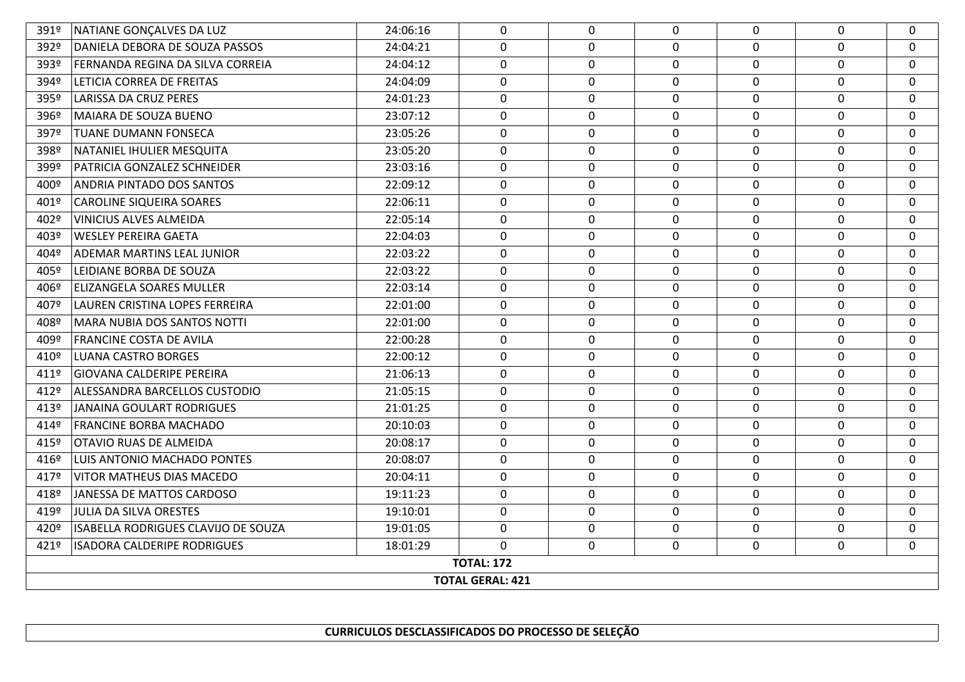## **CURRICULOS DESCLASSIFICADOS DO PROCESSO DE SELEÇÃO**

| 391º                    | NATIANE GONÇALVES DA LUZ                   | 24:06:16 | $\Omega$     | $\mathbf 0$ | $\mathbf 0$  | $\Omega$     | $\mathbf 0$  | $\mathbf 0$    |  |
|-------------------------|--------------------------------------------|----------|--------------|-------------|--------------|--------------|--------------|----------------|--|
| 392º                    | DANIELA DEBORA DE SOUZA PASSOS             | 24:04:21 | $\mathbf 0$  | $\mathbf 0$ | $\mathbf 0$  | $\mathbf{0}$ | $\mathbf{0}$ | $\mathbf 0$    |  |
| 393º                    | FERNANDA REGINA DA SILVA CORREIA           | 24:04:12 | 0            | 0           | $\mathbf 0$  | 0            | 0            | 0              |  |
| 394º                    | LETICIA CORREA DE FREITAS                  | 24:04:09 | $\mathbf 0$  | 0           | $\mathbf 0$  | $\mathbf 0$  | $\mathbf 0$  | 0              |  |
| 395º                    | <b>LARISSA DA CRUZ PERES</b>               | 24:01:23 | 0            | 0           | $\mathbf 0$  | $\mathbf 0$  | 0            | $\mathbf 0$    |  |
| 396º                    | MAIARA DE SOUZA BUENO                      | 23:07:12 | 0            | $\mathbf 0$ | $\mathbf 0$  | 0            | 0            | $\mathbf 0$    |  |
| 397º                    | <b>TUANE DUMANN FONSECA</b>                | 23:05:26 | $\mathbf 0$  | $\mathbf 0$ | $\mathbf 0$  | $\mathbf 0$  | $\mathbf 0$  | $\mathbf 0$    |  |
| 398º                    | NATANIEL IHULIER MESQUITA                  | 23:05:20 | 0            | 0           | $\mathbf 0$  | $\mathbf 0$  | $\mathbf 0$  | $\mathbf 0$    |  |
| 399º                    | PATRICIA GONZALEZ SCHNEIDER                | 23:03:16 | $\mathbf{0}$ | $\mathbf 0$ | $\Omega$     | $\mathbf{0}$ | 0            | $\Omega$       |  |
| 400º                    | ANDRIA PINTADO DOS SANTOS                  | 22:09:12 | $\mathbf 0$  | $\mathbf 0$ | $\mathbf 0$  | $\mathbf 0$  | $\mathbf{0}$ | $\overline{0}$ |  |
| 401º                    | <b>CAROLINE SIQUEIRA SOARES</b>            | 22:06:11 | $\mathbf 0$  | 0           | $\mathbf 0$  | 0            | 0            | $\mathbf 0$    |  |
| 402º                    | VINICIUS ALVES ALMEIDA                     | 22:05:14 | 0            | 0           | $\mathbf{0}$ | 0            | 0            | $\mathbf 0$    |  |
| 403º                    | <b>WESLEY PEREIRA GAETA</b>                | 22:04:03 | $\mathbf 0$  | $\mathbf 0$ | $\mathbf 0$  | $\mathbf 0$  | 0            | $\mathbf 0$    |  |
| 404º                    | <b>ADEMAR MARTINS LEAL JUNIOR</b>          | 22:03:22 | 0            | 0           | 0            | 0            | 0            | 0              |  |
| 405º                    | LEIDIANE BORBA DE SOUZA                    | 22:03:22 | 0            | 0           | $\mathbf 0$  | $\mathbf 0$  | $\mathbf 0$  | $\mathbf 0$    |  |
| 406º                    | <b>ELIZANGELA SOARES MULLER</b>            | 22:03:14 | $\Omega$     | 0           | $\mathbf 0$  | $\mathbf 0$  | 0            | $\mathbf 0$    |  |
| 407º                    | LAUREN CRISTINA LOPES FERREIRA             | 22:01:00 | 0            | 0           | 0            | 0            | $\mathbf 0$  | 0              |  |
| 408º                    | MARA NUBIA DOS SANTOS NOTTI                | 22:01:00 | $\mathbf 0$  | $\mathbf 0$ | $\mathbf 0$  | $\mathbf 0$  | $\mathbf 0$  | $\mathbf 0$    |  |
| 409º                    | <b>FRANCINE COSTA DE AVILA</b>             | 22:00:28 | 0            | 0           | $\mathbf 0$  | $\mathbf 0$  | $\mathbf 0$  | $\mathbf 0$    |  |
| 410º                    | LUANA CASTRO BORGES                        | 22:00:12 | $\mathbf{0}$ | $\mathbf 0$ | $\Omega$     | $\mathbf{0}$ | 0            | 0              |  |
| 411º                    | <b>GIOVANA CALDERIPE PEREIRA</b>           | 21:06:13 | 0            | $\mathbf 0$ | $\mathbf 0$  | $\mathbf{0}$ | 0            | $\mathbf 0$    |  |
| 412º                    | ALESSANDRA BARCELLOS CUSTODIO              | 21:05:15 | 0            | 0           | $\mathbf 0$  | $\mathbf 0$  | $\mathbf 0$  | $\mathbf 0$    |  |
| 413º                    | IJANAINA GOULART RODRIGUES                 | 21:01:25 | $\mathbf 0$  | $\mathbf 0$ | $\mathbf 0$  | $\mathbf 0$  | $\mathbf 0$  | $\mathbf 0$    |  |
| 414º                    | <b>FRANCINE BORBA MACHADO</b>              | 20:10:03 | 0            | 0           | $\mathbf 0$  | 0            | 0            | 0              |  |
| 415º                    | <b>OTAVIO RUAS DE ALMEIDA</b>              | 20:08:17 | 0            | 0           | 0            | 0            | 0            | 0              |  |
| 416º                    | LUIS ANTONIO MACHADO PONTES                | 20:08:07 | $\mathbf 0$  | $\mathbf 0$ | $\mathbf 0$  | $\mathbf 0$  | 0            | $\mathbf 0$    |  |
| 4179                    | <b>VITOR MATHEUS DIAS MACEDO</b>           | 20:04:11 | 0            | 0           | 0            | 0            | 0            | 0              |  |
| 418º                    | JANESSA DE MATTOS CARDOSO                  | 19:11:23 | $\Omega$     | 0           | $\Omega$     | $\mathbf{0}$ | 0            | 0              |  |
| 419º                    | JULIA DA SILVA ORESTES                     | 19:10:01 | $\mathbf 0$  | $\mathbf 0$ | $\mathbf 0$  | $\mathbf 0$  | $\mathbf 0$  | $\overline{0}$ |  |
| 420º                    | <b>ISABELLA RODRIGUES CLAVIJO DE SOUZA</b> | 19:01:05 | 0            | 0           | $\mathbf 0$  | $\mathbf 0$  | $\mathbf 0$  | 0              |  |
| 421º                    | <b>ISADORA CALDERIPE RODRIGUES</b>         | 18:01:29 | $\Omega$     | 0           | 0            | 0            | 0            | 0              |  |
|                         | <b>TOTAL: 172</b>                          |          |              |             |              |              |              |                |  |
| <b>TOTAL GERAL: 421</b> |                                            |          |              |             |              |              |              |                |  |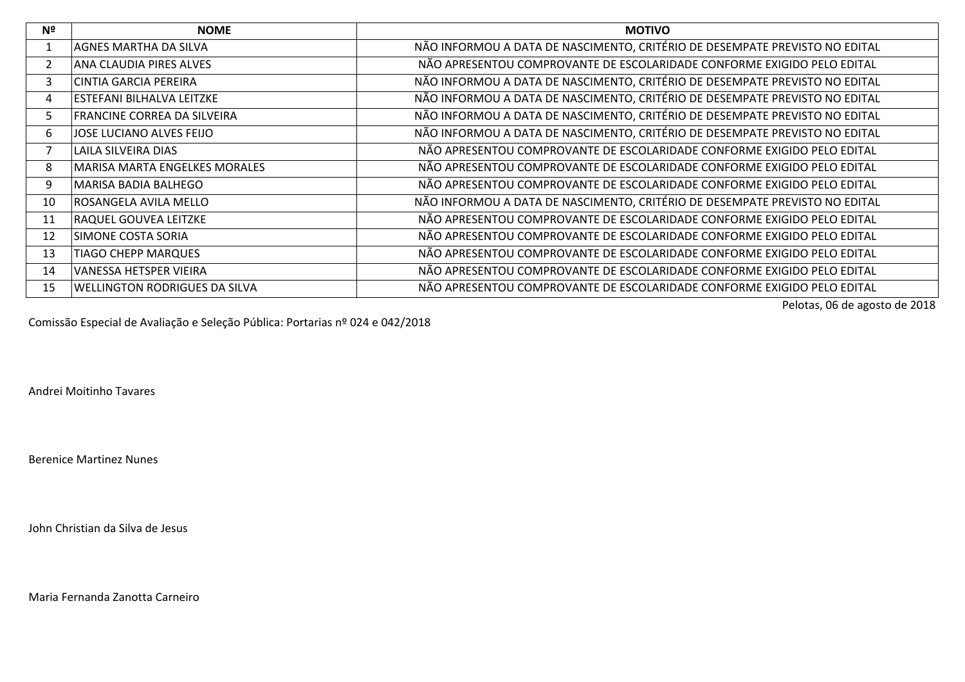| Nº | <b>NOME</b>                          | <b>MOTIVO</b>                                                               |
|----|--------------------------------------|-----------------------------------------------------------------------------|
|    | <b>AGNES MARTHA DA SILVA</b>         | NÃO INFORMOU A DATA DE NASCIMENTO, CRITÉRIO DE DESEMPATE PREVISTO NO EDITAL |
| 2  | ANA CLAUDIA PIRES ALVES              | NÃO APRESENTOU COMPROVANTE DE ESCOLARIDADE CONFORME EXIGIDO PELO EDITAL     |
| 3  | <b>CINTIA GARCIA PEREIRA</b>         | NÃO INFORMOU A DATA DE NASCIMENTO, CRITÉRIO DE DESEMPATE PREVISTO NO EDITAL |
| 4  | ESTEFANI BILHALVA LEITZKE            | NÃO INFORMOU A DATA DE NASCIMENTO, CRITÉRIO DE DESEMPATE PREVISTO NO EDITAL |
| 5. | FRANCINE CORREA DA SILVEIRA          | NÃO INFORMOU A DATA DE NASCIMENTO, CRITÉRIO DE DESEMPATE PREVISTO NO EDITAL |
| 6  | JOSE LUCIANO ALVES FEIJO             | NÃO INFORMOU A DATA DE NASCIMENTO, CRITÉRIO DE DESEMPATE PREVISTO NO EDITAL |
|    | LAILA SILVEIRA DIAS                  | NÃO APRESENTOU COMPROVANTE DE ESCOLARIDADE CONFORME EXIGIDO PELO EDITAL     |
| 8  | MARISA MARTA ENGELKES MORALES        | NÃO APRESENTOU COMPROVANTE DE ESCOLARIDADE CONFORME EXIGIDO PELO EDITAL     |
| 9  | MARISA BADIA BALHEGO                 | NÃO APRESENTOU COMPROVANTE DE ESCOLARIDADE CONFORME EXIGIDO PELO EDITAL     |
| 10 | ROSANGELA AVILA MELLO                | NÃO INFORMOU A DATA DE NASCIMENTO, CRITÉRIO DE DESEMPATE PREVISTO NO EDITAL |
| 11 | <b>RAQUEL GOUVEA LEITZKE</b>         | NÃO APRESENTOU COMPROVANTE DE ESCOLARIDADE CONFORME EXIGIDO PELO EDITAL     |
| 12 | SIMONE COSTA SORIA                   | NÃO APRESENTOU COMPROVANTE DE ESCOLARIDADE CONFORME EXIGIDO PELO EDITAL     |
| 13 | <b>TIAGO CHEPP MARQUES</b>           | NÃO APRESENTOU COMPROVANTE DE ESCOLARIDADE CONFORME EXIGIDO PELO EDITAL     |
| 14 | VANESSA HETSPER VIEIRA               | NÃO APRESENTOU COMPROVANTE DE ESCOLARIDADE CONFORME EXIGIDO PELO EDITAL     |
| 15 | <b>WELLINGTON RODRIGUES DA SILVA</b> | NÃO APRESENTOU COMPROVANTE DE ESCOLARIDADE CONFORME EXIGIDO PELO EDITAL     |

Pelotas, 06 de agosto de 2018

Comissão Especial de Avaliação e Seleção Pública: Portarias nº 024 e 042/2018

Andrei Moitinho Tavares

Berenice Martinez Nunes

John Christian da Silva de Jesus

Maria Fernanda Zanotta Carneiro